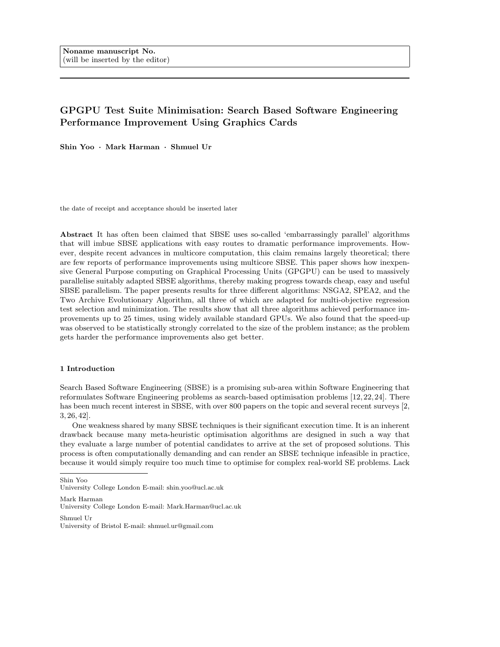# GPGPU Test Suite Minimisation: Search Based Software Engineering Performance Improvement Using Graphics Cards

Shin Yoo · Mark Harman · Shmuel Ur

the date of receipt and acceptance should be inserted later

Abstract It has often been claimed that SBSE uses so-called 'embarrassingly parallel' algorithms that will imbue SBSE applications with easy routes to dramatic performance improvements. However, despite recent advances in multicore computation, this claim remains largely theoretical; there are few reports of performance improvements using multicore SBSE. This paper shows how inexpensive General Purpose computing on Graphical Processing Units (GPGPU) can be used to massively parallelise suitably adapted SBSE algorithms, thereby making progress towards cheap, easy and useful SBSE parallelism. The paper presents results for three different algorithms: NSGA2, SPEA2, and the Two Archive Evolutionary Algorithm, all three of which are adapted for multi-objective regression test selection and minimization. The results show that all three algorithms achieved performance improvements up to 25 times, using widely available standard GPUs. We also found that the speed-up was observed to be statistically strongly correlated to the size of the problem instance; as the problem gets harder the performance improvements also get better.

# 1 Introduction

Search Based Software Engineering (SBSE) is a promising sub-area within Software Engineering that reformulates Software Engineering problems as search-based optimisation problems [12, 22, 24]. There has been much recent interest in SBSE, with over 800 papers on the topic and several recent surveys [2, 3, 26, 42].

One weakness shared by many SBSE techniques is their significant execution time. It is an inherent drawback because many meta-heuristic optimisation algorithms are designed in such a way that they evaluate a large number of potential candidates to arrive at the set of proposed solutions. This process is often computationally demanding and can render an SBSE technique infeasible in practice, because it would simply require too much time to optimise for complex real-world SE problems. Lack

Shin Yoo

Mark Harman

University College London E-mail: Mark.Harman@ucl.ac.uk

Shmuel Ur

University of Bristol E-mail: shmuel.ur@gmail.com

University College London E-mail: shin.yoo@ucl.ac.uk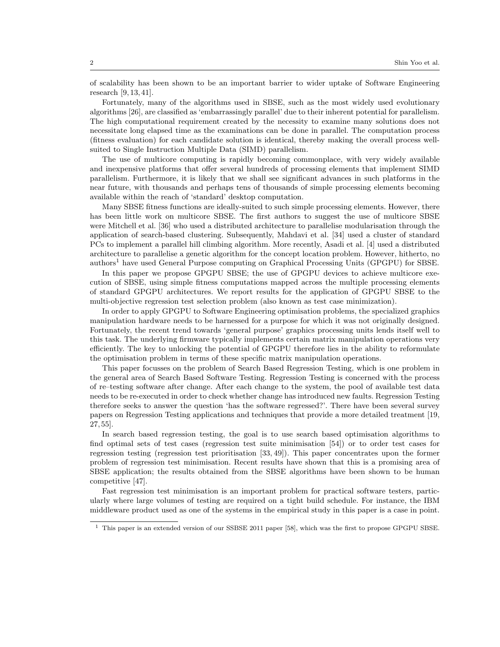of scalability has been shown to be an important barrier to wider uptake of Software Engineering research [9, 13, 41].

Fortunately, many of the algorithms used in SBSE, such as the most widely used evolutionary algorithms [26], are classified as 'embarrassingly parallel' due to their inherent potential for parallelism. The high computational requirement created by the necessity to examine many solutions does not necessitate long elapsed time as the examinations can be done in parallel. The computation process (fitness evaluation) for each candidate solution is identical, thereby making the overall process wellsuited to Single Instruction Multiple Data (SIMD) parallelism.

The use of multicore computing is rapidly becoming commonplace, with very widely available and inexpensive platforms that offer several hundreds of processing elements that implement SIMD parallelism. Furthermore, it is likely that we shall see significant advances in such platforms in the near future, with thousands and perhaps tens of thousands of simple processing elements becoming available within the reach of 'standard' desktop computation.

Many SBSE fitness functions are ideally-suited to such simple processing elements. However, there has been little work on multicore SBSE. The first authors to suggest the use of multicore SBSE were Mitchell et al. [36] who used a distributed architecture to parallelise modularisation through the application of search-based clustering. Subsequently, Mahdavi et al. [34] used a cluster of standard PCs to implement a parallel hill climbing algorithm. More recently, Asadi et al. [4] used a distributed architecture to parallelise a genetic algorithm for the concept location problem. However, hitherto, no authors<sup>1</sup> have used General Purpose computing on Graphical Processing Units (GPGPU) for SBSE.

In this paper we propose GPGPU SBSE; the use of GPGPU devices to achieve multicore execution of SBSE, using simple fitness computations mapped across the multiple processing elements of standard GPGPU architectures. We report results for the application of GPGPU SBSE to the multi-objective regression test selection problem (also known as test case minimization).

In order to apply GPGPU to Software Engineering optimisation problems, the specialized graphics manipulation hardware needs to be harnessed for a purpose for which it was not originally designed. Fortunately, the recent trend towards 'general purpose' graphics processing units lends itself well to this task. The underlying firmware typically implements certain matrix manipulation operations very efficiently. The key to unlocking the potential of GPGPU therefore lies in the ability to reformulate the optimisation problem in terms of these specific matrix manipulation operations.

This paper focusses on the problem of Search Based Regression Testing, which is one problem in the general area of Search Based Software Testing. Regression Testing is concerned with the process of re–testing software after change. After each change to the system, the pool of available test data needs to be re-executed in order to check whether change has introduced new faults. Regression Testing therefore seeks to answer the question 'has the software regressed?'. There have been several survey papers on Regression Testing applications and techniques that provide a more detailed treatment [19, 27, 55].

In search based regression testing, the goal is to use search based optimisation algorithms to find optimal sets of test cases (regression test suite minimisation [54]) or to order test cases for regression testing (regression test prioritisation [33, 49]). This paper concentrates upon the former problem of regression test minimisation. Recent results have shown that this is a promising area of SBSE application; the results obtained from the SBSE algorithms have been shown to be human competitive [47].

Fast regression test minimisation is an important problem for practical software testers, particularly where large volumes of testing are required on a tight build schedule. For instance, the IBM middleware product used as one of the systems in the empirical study in this paper is a case in point.

<sup>&</sup>lt;sup>1</sup> This paper is an extended version of our SSBSE 2011 paper [58], which was the first to propose GPGPU SBSE.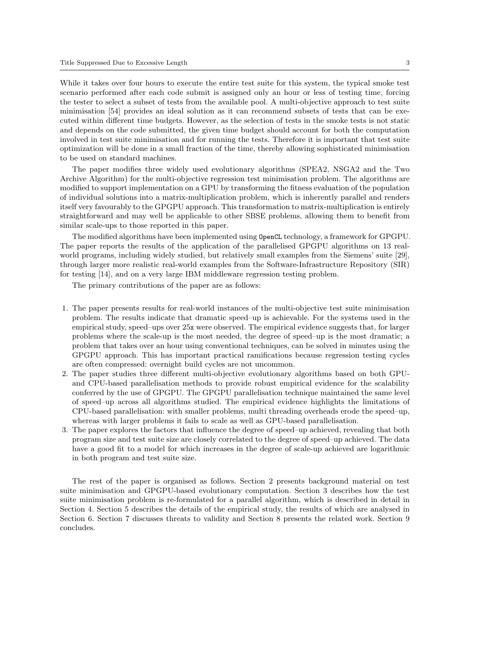While it takes over four hours to execute the entire test suite for this system, the typical smoke test scenario performed after each code submit is assigned only an hour or less of testing time, forcing the tester to select a subset of tests from the available pool. A multi-objective approach to test suite minimisation [54] provides an ideal solution as it can recommend subsets of tests that can be executed within different time budgets. However, as the selection of tests in the smoke tests is not static and depends on the code submitted, the given time budget should account for both the computation involved in test suite minimisation and for running the tests. Therefore it is important that test suite optimization will be done in a small fraction of the time, thereby allowing sophisticated minimisation to be used on standard machines.

The paper modifies three widely used evolutionary algorithms (SPEA2, NSGA2 and the Two Archive Algorithm) for the multi-objective regression test minimisation problem. The algorithms are modified to support implementation on a GPU by transforming the fitness evaluation of the population of individual solutions into a matrix-multiplication problem, which is inherently parallel and renders itself very favourably to the GPGPU approach. This transformation to matrix-multiplication is entirely straightforward and may well be applicable to other SBSE problems, allowing them to benefit from similar scale-ups to those reported in this paper.

The modified algorithms have been implemented using OpenCL technology, a framework for GPGPU. The paper reports the results of the application of the parallelised GPGPU algorithms on 13 realworld programs, including widely studied, but relatively small examples from the Siemens' suite [29], through larger more realistic real-world examples from the Software-Infrastructure Repository (SIR) for testing [14], and on a very large IBM middleware regression testing problem.

The primary contributions of the paper are as follows:

- 1. The paper presents results for real-world instances of the multi-objective test suite minimisation problem. The results indicate that dramatic speed–up is achievable. For the systems used in the empirical study, speed–ups over 25x were observed. The empirical evidence suggests that, for larger problems where the scale-up is the most needed, the degree of speed–up is the most dramatic; a problem that takes over an hour using conventional techniques, can be solved in minutes using the GPGPU approach. This has important practical ramifications because regression testing cycles are often compressed: overnight build cycles are not uncommon.
- 2. The paper studies three different multi-objective evolutionary algorithms based on both GPUand CPU-based parallelisation methods to provide robust empirical evidence for the scalability conferred by the use of GPGPU. The GPGPU parallelisation technique maintained the same level of speed–up across all algorithms studied. The empirical evidence highlights the limitations of CPU-based parallelisation: with smaller problems, multi threading overheads erode the speed–up, whereas with larger problems it fails to scale as well as GPU-based parallelisation.
- 3. The paper explores the factors that influence the degree of speed–up achieved, revealing that both program size and test suite size are closely correlated to the degree of speed–up achieved. The data have a good fit to a model for which increases in the degree of scale-up achieved are logarithmic in both program and test suite size.

The rest of the paper is organised as follows. Section 2 presents background material on test suite minimisation and GPGPU-based evolutionary computation. Section 3 describes how the test suite minimisation problem is re-formulated for a parallel algorithm, which is described in detail in Section 4. Section 5 describes the details of the empirical study, the results of which are analysed in Section 6. Section 7 discusses threats to validity and Section 8 presents the related work. Section 9 concludes.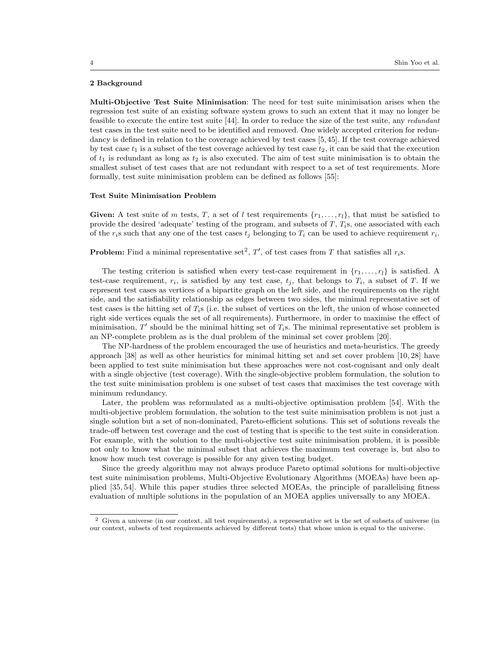#### 2 Background

Multi-Objective Test Suite Minimisation: The need for test suite minimisation arises when the regression test suite of an existing software system grows to such an extent that it may no longer be feasible to execute the entire test suite [44]. In order to reduce the size of the test suite, any redundant test cases in the test suite need to be identified and removed. One widely accepted criterion for redundancy is defined in relation to the coverage achieved by test cases [5, 45]. If the test coverage achieved by test case  $t_1$  is a subset of the test coverage achieved by test case  $t_2$ , it can be said that the execution of  $t_1$  is redundant as long as  $t_2$  is also executed. The aim of test suite minimisation is to obtain the smallest subset of test cases that are not redundant with respect to a set of test requirements. More formally, test suite minimisation problem can be defined as follows [55]:

#### Test Suite Minimisation Problem

Given: A test suite of m tests, T, a set of l test requirements  $\{r_1, \ldots, r_l\}$ , that must be satisfied to provide the desired 'adequate' testing of the program, and subsets of  $T$ ,  $T<sub>i</sub>$ s, one associated with each of the  $r_i$ s such that any one of the test cases  $t_j$  belonging to  $T_i$  can be used to achieve requirement  $r_i$ .

**Problem:** Find a minimal representative set<sup>2</sup>, T', of test cases from T that satisfies all  $r_i$ s.

The testing criterion is satisfied when every test-case requirement in  $\{r_1, \ldots, r_l\}$  is satisfied. A test-case requirement,  $r_i$ , is satisfied by any test case,  $t_j$ , that belongs to  $T_i$ , a subset of T. If we represent test cases as vertices of a bipartite graph on the left side, and the requirements on the right side, and the satisfiability relationship as edges between two sides, the minimal representative set of test cases is the hitting set of  $T_i$ s (i.e. the subset of vertices on the left, the union of whose connected right side vertices equals the set of all requirements). Furthermore, in order to maximise the effect of minimisation,  $T'$  should be the minimal hitting set of  $T_i$ s. The minimal representative set problem is an NP-complete problem as is the dual problem of the minimal set cover problem [20].

The NP-hardness of the problem encouraged the use of heuristics and meta-heuristics. The greedy approach [38] as well as other heuristics for minimal hitting set and set cover problem [10, 28] have been applied to test suite minimisation but these approaches were not cost-cognisant and only dealt with a single objective (test coverage). With the single-objective problem formulation, the solution to the test suite minimisation problem is one subset of test cases that maximises the test coverage with minimum redundancy.

Later, the problem was reformulated as a multi-objective optimisation problem [54]. With the multi-objective problem formulation, the solution to the test suite minimisation problem is not just a single solution but a set of non-dominated, Pareto-efficient solutions. This set of solutions reveals the trade-off between test coverage and the cost of testing that is specific to the test suite in consideration. For example, with the solution to the multi-objective test suite minimisation problem, it is possible not only to know what the minimal subset that achieves the maximum test coverage is, but also to know how much test coverage is possible for any given testing budget.

Since the greedy algorithm may not always produce Pareto optimal solutions for multi-objective test suite minimisation problems, Multi-Objective Evolutionary Algorithms (MOEAs) have been applied [35, 54]. While this paper studies three selected MOEAs, the principle of parallelising fitness evaluation of multiple solutions in the population of an MOEA applies universally to any MOEA.

<sup>2</sup> Given a universe (in our context, all test requirements), a representative set is the set of subsets of universe (in our context, subsets of test requirements achieved by different tests) that whose union is equal to the universe.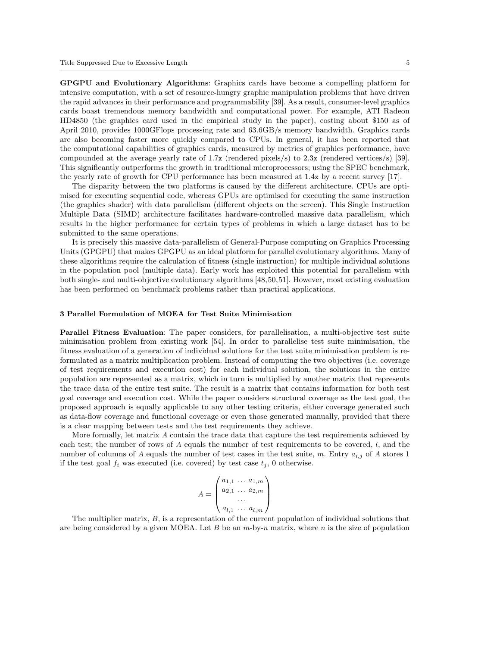GPGPU and Evolutionary Algorithms: Graphics cards have become a compelling platform for intensive computation, with a set of resource-hungry graphic manipulation problems that have driven the rapid advances in their performance and programmability [39]. As a result, consumer-level graphics cards boast tremendous memory bandwidth and computational power. For example, ATI Radeon HD4850 (the graphics card used in the empirical study in the paper), costing about \$150 as of April 2010, provides 1000GFlops processing rate and 63.6GB/s memory bandwidth. Graphics cards are also becoming faster more quickly compared to CPUs. In general, it has been reported that the computational capabilities of graphics cards, measured by metrics of graphics performance, have compounded at the average yearly rate of 1.7x (rendered pixels/s) to 2.3x (rendered vertices/s) [39]. This significantly outperforms the growth in traditional microprocessors; using the SPEC benchmark, the yearly rate of growth for CPU performance has been measured at 1.4x by a recent survey [17].

The disparity between the two platforms is caused by the different architecture. CPUs are optimised for executing sequential code, whereas GPUs are optimised for executing the same instruction (the graphics shader) with data parallelism (different objects on the screen). This Single Instruction Multiple Data (SIMD) architecture facilitates hardware-controlled massive data parallelism, which results in the higher performance for certain types of problems in which a large dataset has to be submitted to the same operations.

It is precisely this massive data-parallelism of General-Purpose computing on Graphics Processing Units (GPGPU) that makes GPGPU as an ideal platform for parallel evolutionary algorithms. Many of these algorithms require the calculation of fitness (single instruction) for multiple individual solutions in the population pool (multiple data). Early work has exploited this potential for parallelism with both single- and multi-objective evolutionary algorithms [48,50,51]. However, most existing evaluation has been performed on benchmark problems rather than practical applications.

## 3 Parallel Formulation of MOEA for Test Suite Minimisation

Parallel Fitness Evaluation: The paper considers, for parallelisation, a multi-objective test suite minimisation problem from existing work [54]. In order to parallelise test suite minimisation, the fitness evaluation of a generation of individual solutions for the test suite minimisation problem is reformulated as a matrix multiplication problem. Instead of computing the two objectives (i.e. coverage of test requirements and execution cost) for each individual solution, the solutions in the entire population are represented as a matrix, which in turn is multiplied by another matrix that represents the trace data of the entire test suite. The result is a matrix that contains information for both test goal coverage and execution cost. While the paper considers structural coverage as the test goal, the proposed approach is equally applicable to any other testing criteria, either coverage generated such as data-flow coverage and functional coverage or even those generated manually, provided that there is a clear mapping between tests and the test requirements they achieve.

More formally, let matrix A contain the trace data that capture the test requirements achieved by each test; the number of rows of  $A$  equals the number of test requirements to be covered,  $l$ , and the number of columns of A equals the number of test cases in the test suite, m. Entry  $a_{i,j}$  of A stores 1 if the test goal  $f_i$  was executed (i.e. covered) by test case  $t_i$ , 0 otherwise.

$$
A = \begin{pmatrix} a_{1,1} & \dots & a_{1,m} \\ a_{2,1} & \dots & a_{2,m} \\ \dots & \dots & \dots \\ a_{l,1} & \dots & a_{l,m} \end{pmatrix}
$$

The multiplier matrix, B, is a representation of the current population of individual solutions that are being considered by a given MOEA. Let B be an  $m$ -by- $n$  matrix, where  $n$  is the size of population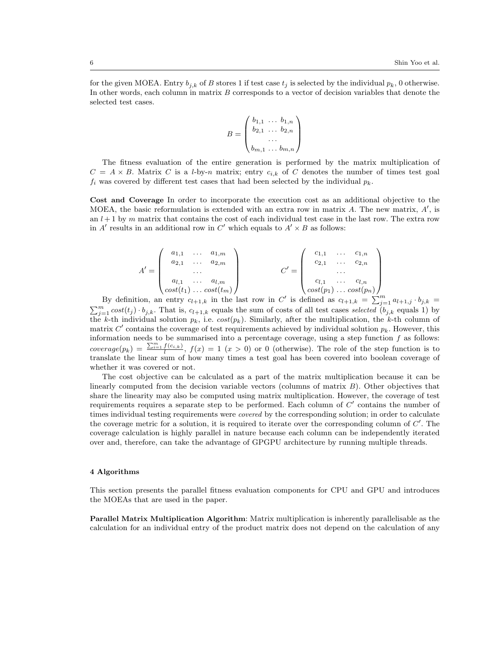for the given MOEA. Entry  $b_{i,k}$  of B stores 1 if test case  $t_i$  is selected by the individual  $p_k$ , 0 otherwise. In other words, each column in matrix B corresponds to a vector of decision variables that denote the selected test cases.

$$
B = \begin{pmatrix} b_{1,1} & \dots & b_{1,n} \\ b_{2,1} & \dots & b_{2,n} \\ \dots & \dots \\ b_{m,1} & \dots & b_{m,n} \end{pmatrix}
$$

The fitness evaluation of the entire generation is performed by the matrix multiplication of  $C = A \times B$ . Matrix C is a *l*-by-n matrix; entry  $c_{i,k}$  of C denotes the number of times test goal  $f_i$  was covered by different test cases that had been selected by the individual  $p_k$ .

Cost and Coverage In order to incorporate the execution cost as an additional objective to the MOEA, the basic reformulation is extended with an extra row in matrix  $A$ . The new matrix,  $A'$ , is an  $l+1$  by m matrix that contains the cost of each individual test case in the last row. The extra row in A' results in an additional row in  $C'$  which equals to  $A' \times B$  as follows:

$$
A' = \begin{pmatrix} a_{1,1} & \dots & a_{1,m} \\ a_{2,1} & \dots & a_{2,m} \\ \dots & & & \\ a_{l,1} & \dots & a_{l,m} \\ cost(t_1) & \dots & cost(t_m) \end{pmatrix} \qquad \qquad C' = \begin{pmatrix} c_{1,1} & \dots & c_{1,n} \\ c_{2,1} & \dots & c_{2,n} \\ \dots & & & \\ c_{l,1} & \dots & c_{l,n} \\ cost(p_1) & \dots & cost(p_n) \end{pmatrix}
$$

By definition, an entry  $c_{l+1,k}$  in the last row in C' is defined as  $c_{l+1,k} = \sum_{j=1}^{m} a_{l+1,j} \cdot b_{j,k} =$  $\sum_{j=1}^m cost(t_j) \cdot b_{j,k}$ . That is,  $c_{l+1,k}$  equals the sum of costs of all test cases selected  $(b_{j,k}$  equals 1) by the k-th individual solution  $p_k$ , i.e.  $cost(p_k)$ . Similarly, after the multiplication, the k-th column of matrix  $C'$  contains the coverage of test requirements achieved by individual solution  $p_k$ . However, this information needs to be summarised into a percentage coverage, using a step function  $f$  as follows: coverage( $p_k$ ) =  $\frac{\sum_{i=1}^{m} f(c_{i,k})}{l}$ ,  $f(x) = 1$  ( $x > 0$ ) or 0 (otherwise). The role of the step function is to translate the linear sum of how many times a test goal has been covered into boolean coverage of whether it was covered or not.

The cost objective can be calculated as a part of the matrix multiplication because it can be linearly computed from the decision variable vectors (columns of matrix  $B$ ). Other objectives that share the linearity may also be computed using matrix multiplication. However, the coverage of test requirements requires a separate step to be performed. Each column of  $C'$  contains the number of times individual testing requirements were *covered* by the corresponding solution; in order to calculate the coverage metric for a solution, it is required to iterate over the corresponding column of  $C'$ . The coverage calculation is highly parallel in nature because each column can be independently iterated over and, therefore, can take the advantage of GPGPU architecture by running multiple threads.

## 4 Algorithms

This section presents the parallel fitness evaluation components for CPU and GPU and introduces the MOEAs that are used in the paper.

Parallel Matrix Multiplication Algorithm: Matrix multiplication is inherently parallelisable as the calculation for an individual entry of the product matrix does not depend on the calculation of any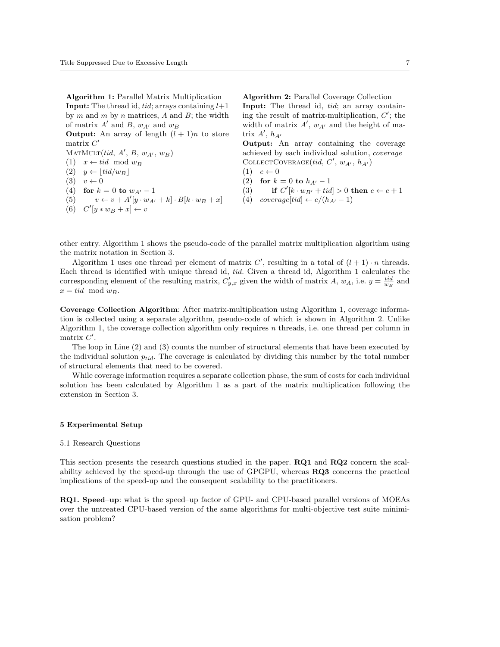Algorithm 1: Parallel Matrix Multiplication **Input:** The thread id, *tid*; arrays containing  $l+1$ by  $m$  and  $m$  by  $n$  matrices,  $A$  and  $B$ ; the width of matrix  $A'$  and  $B$ ,  $w_{A'}$  and  $w_B$ **Output:** An array of length  $(l + 1)n$  to store matrix  $C'$ MATMULT $(tid, A', B, w_{A'}, w_B)$ (1)  $x \leftarrow tid \mod w_B$  $(2)$   $y \leftarrow |tid/w_B|$  $(3)$   $v \leftarrow 0$ (4) for  $k = 0$  to  $w_{A'} - 1$ (5)  $v \leftarrow v + A'[y \cdot w_{A'} + k] \cdot B[k \cdot w_B + x]$ (6)  $C'[y*w_B + x] \leftarrow v$ Algorithm 2: Parallel Coverage Collection Input: The thread id, *tid*; an array containing the result of matrix-multiplication,  $C'$ ; the width of matrix  $A'$ ,  $w_{A'}$  and the height of matrix  $A'$ ,  $h_{A'}$ Output: An array containing the coverage achieved by each individual solution, coverage COLLECT COVERAGE  $(tid, C', w_{A'}, h_{A'})$  $(1)$   $e \leftarrow 0$ (2) for  $k = 0$  to  $h_{A'} - 1$ (3) if  $C'[k \cdot w_{B'} + tid] > 0$  then  $e \leftarrow e + 1$ (4)  $coverage[tid] \leftarrow e/(h_{A'}-1)$ 

other entry. Algorithm 1 shows the pseudo-code of the parallel matrix multiplication algorithm using the matrix notation in Section 3.

Algorithm 1 uses one thread per element of matrix  $C'$ , resulting in a total of  $(l + 1) \cdot n$  threads. Each thread is identified with unique thread id, tid. Given a thread id, Algorithm 1 calculates the corresponding element of the resulting matrix,  $C'_{y,x}$  given the width of matrix A,  $w_A$ , i.e.  $y = \frac{tid}{w_B}$  and  $x = tid \mod w_B$ .

Coverage Collection Algorithm: After matrix-multiplication using Algorithm 1, coverage information is collected using a separate algorithm, pseudo-code of which is shown in Algorithm 2. Unlike Algorithm 1, the coverage collection algorithm only requires  $n$  threads, i.e. one thread per column in matrix  $C'$ .

The loop in Line (2) and (3) counts the number of structural elements that have been executed by the individual solution  $p_{tid}$ . The coverage is calculated by dividing this number by the total number of structural elements that need to be covered.

While coverage information requires a separate collection phase, the sum of costs for each individual solution has been calculated by Algorithm 1 as a part of the matrix multiplication following the extension in Section 3.

### 5 Experimental Setup

#### 5.1 Research Questions

This section presents the research questions studied in the paper. RQ1 and RQ2 concern the scalability achieved by the speed-up through the use of GPGPU, whereas RQ3 concerns the practical implications of the speed-up and the consequent scalability to the practitioners.

RQ1. Speed–up: what is the speed–up factor of GPU- and CPU-based parallel versions of MOEAs over the untreated CPU-based version of the same algorithms for multi-objective test suite minimisation problem?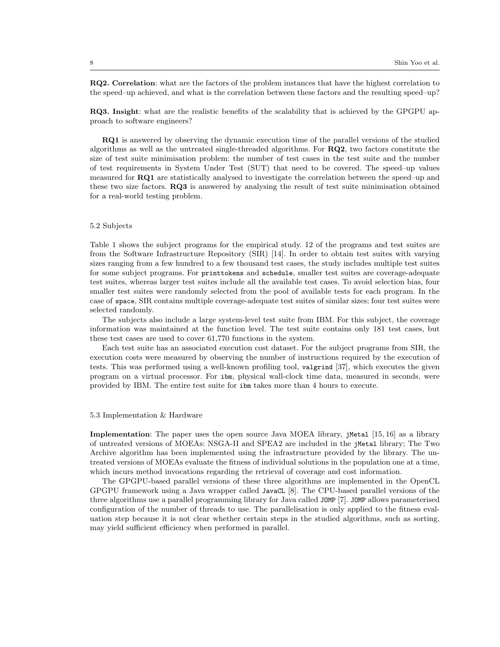RQ2. Correlation: what are the factors of the problem instances that have the highest correlation to the speed–up achieved, and what is the correlation between these factors and the resulting speed–up?

RQ3. Insight: what are the realistic benefits of the scalability that is achieved by the GPGPU approach to software engineers?

RQ1 is answered by observing the dynamic execution time of the parallel versions of the studied algorithms as well as the untreated single-threaded algorithms. For RQ2, two factors constitute the size of test suite minimisation problem: the number of test cases in the test suite and the number of test requirements in System Under Test (SUT) that need to be covered. The speed–up values measured for RQ1 are statistically analysed to investigate the correlation between the speed–up and these two size factors. RQ3 is answered by analysing the result of test suite minimisation obtained for a real-world testing problem.

#### 5.2 Subjects

Table 1 shows the subject programs for the empirical study. 12 of the programs and test suites are from the Software Infrastructure Repository (SIR) [14]. In order to obtain test suites with varying sizes ranging from a few hundred to a few thousand test cases, the study includes multiple test suites for some subject programs. For printtokens and schedule, smaller test suites are coverage-adequate test suites, whereas larger test suites include all the available test cases. To avoid selection bias, four smaller test suites were randomly selected from the pool of available tests for each program. In the case of space, SIR contains multiple coverage-adequate test suites of similar sizes; four test suites were selected randomly.

The subjects also include a large system-level test suite from IBM. For this subject, the coverage information was maintained at the function level. The test suite contains only 181 test cases, but these test cases are used to cover 61,770 functions in the system.

Each test suite has an associated execution cost dataset. For the subject programs from SIR, the execution costs were measured by observing the number of instructions required by the execution of tests. This was performed using a well-known profiling tool, valgrind [37], which executes the given program on a virtual processor. For ibm, physical wall-clock time data, measured in seconds, were provided by IBM. The entire test suite for ibm takes more than 4 hours to execute.

#### 5.3 Implementation & Hardware

**Implementation:** The paper uses the open source Java MOEA library, jMetal  $[15, 16]$  as a library of untreated versions of MOEAs: NSGA-II and SPEA2 are included in the jMetal library; The Two Archive algorithm has been implemented using the infrastructure provided by the library. The untreated versions of MOEAs evaluate the fitness of individual solutions in the population one at a time, which incurs method invocations regarding the retrieval of coverage and cost information.

The GPGPU-based parallel versions of these three algorithms are implemented in the OpenCL GPGPU framework using a Java wrapper called JavaCL [8]. The CPU-based parallel versions of the three algorithms use a parallel programming library for Java called JOMP [7]. JOMP allows parameterised configuration of the number of threads to use. The parallelisation is only applied to the fitness evaluation step because it is not clear whether certain steps in the studied algorithms, such as sorting, may yield sufficient efficiency when performed in parallel.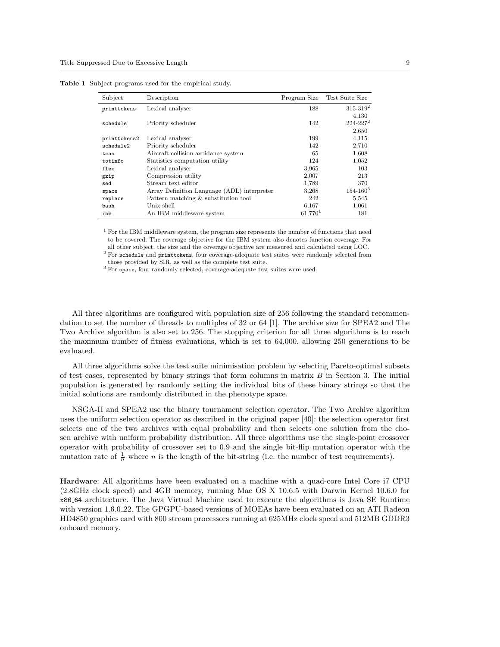| Subject      | Description                                 | Program Size          | Test Suite Size |
|--------------|---------------------------------------------|-----------------------|-----------------|
| printtokens  | Lexical analyser                            | 188                   | $315 - 319^2$   |
|              |                                             |                       | 4,130           |
| schedule     | Priority scheduler                          | 142                   | $224 - 227^2$   |
|              |                                             |                       | 2,650           |
| printtokens2 | Lexical analyser                            | 199                   | 4,115           |
| schedule2    | Priority scheduler                          | 142                   | 2,710           |
| tcas         | Aircraft collision avoidance system         | 65                    | 1,608           |
| totinfo      | Statistics computation utility              | 124                   | 1,052           |
| flex         | Lexical analyser                            | 3,965                 | 103             |
| gzip         | Compression utility                         | 2,007                 | 213             |
| sed          | Stream text editor                          | 1,789                 | 370             |
| space        | Array Definition Language (ADL) interpreter | 3,268                 | $154 - 160^3$   |
| replace      | Pattern matching & substitution tool        | 242                   | 5,545           |
| bash         | Unix shell                                  | 6,167                 | 1,061           |
| ibm          | An IBM middleware system                    | $61,770$ <sup>1</sup> | 181             |

Table 1 Subject programs used for the empirical study.

 $^{\rm 1}$  For the IBM middleware system, the program size represents the number of functions that need to be covered. The coverage objective for the IBM system also denotes function coverage. For all other subject, the size and the coverage objective are measured and calculated using LOC.

 $^2$  For schedule and printtokens, four coverage-adequate test suites were randomly selected from

those provided by SIR, as well as the complete test suite.

<sup>3</sup> For space, four randomly selected, coverage-adequate test suites were used.

All three algorithms are configured with population size of 256 following the standard recommendation to set the number of threads to multiples of 32 or 64 [1]. The archive size for SPEA2 and The Two Archive algorithm is also set to 256. The stopping criterion for all three algorithms is to reach the maximum number of fitness evaluations, which is set to 64,000, allowing 250 generations to be evaluated.

All three algorithms solve the test suite minimisation problem by selecting Pareto-optimal subsets of test cases, represented by binary strings that form columns in matrix  $B$  in Section 3. The initial population is generated by randomly setting the individual bits of these binary strings so that the initial solutions are randomly distributed in the phenotype space.

NSGA-II and SPEA2 use the binary tournament selection operator. The Two Archive algorithm uses the uniform selection operator as described in the original paper [40]: the selection operator first selects one of the two archives with equal probability and then selects one solution from the chosen archive with uniform probability distribution. All three algorithms use the single-point crossover operator with probability of crossover set to 0.9 and the single bit-flip mutation operator with the mutation rate of  $\frac{1}{n}$  where *n* is the length of the bit-string (i.e. the number of test requirements).

Hardware: All algorithms have been evaluated on a machine with a quad-core Intel Core i7 CPU (2.8GHz clock speed) and 4GB memory, running Mac OS X 10.6.5 with Darwin Kernel 10.6.0 for x86 64 architecture. The Java Virtual Machine used to execute the algorithms is Java SE Runtime with version 1.6.0.22. The GPGPU-based versions of MOEAs have been evaluated on an ATI Radeon HD4850 graphics card with 800 stream processors running at 625MHz clock speed and 512MB GDDR3 onboard memory.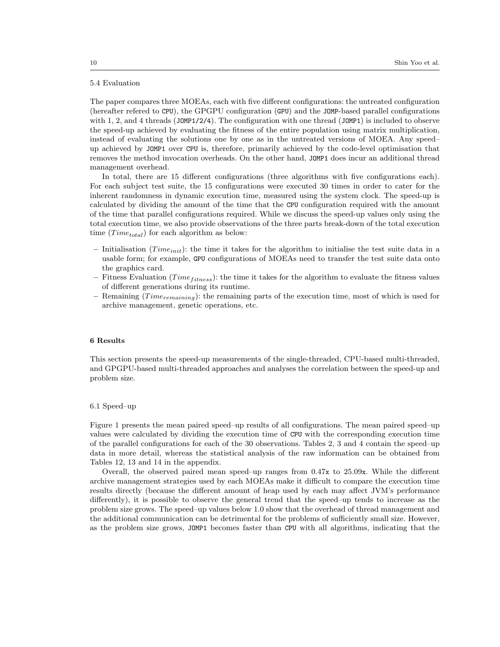### 5.4 Evaluation

The paper compares three MOEAs, each with five different configurations: the untreated configuration (hereafter refered to CPU), the GPGPU configuration (GPU) and the JOMP-based parallel configurations with 1, 2, and 4 threads (JOMP1/2/4). The configuration with one thread (JOMP1) is included to observe the speed-up achieved by evaluating the fitness of the entire population using matrix multiplication, instead of evaluating the solutions one by one as in the untreated versions of MOEA. Any speed– up achieved by JOMP1 over CPU is, therefore, primarily achieved by the code-level optimisation that removes the method invocation overheads. On the other hand, JOMP1 does incur an additional thread management overhead.

In total, there are 15 different configurations (three algorithms with five configurations each). For each subject test suite, the 15 configurations were executed 30 times in order to cater for the inherent randomness in dynamic execution time, measured using the system clock. The speed-up is calculated by dividing the amount of the time that the CPU configuration required with the amount of the time that parallel configurations required. While we discuss the speed-up values only using the total execution time, we also provide observations of the three parts break-down of the total execution time  $(Time_{total})$  for each algorithm as below:

- Initialisation ( $Time_{init}$ ): the time it takes for the algorithm to initialise the test suite data in a usable form; for example, GPU configurations of MOEAs need to transfer the test suite data onto the graphics card.
- Fitness Evaluation ( $Time_{fitness}$ ): the time it takes for the algorithm to evaluate the fitness values of different generations during its runtime.
- Remaining  $(Time_{remaining})$ : the remaining parts of the execution time, most of which is used for archive management, genetic operations, etc.

## 6 Results

This section presents the speed-up measurements of the single-threaded, CPU-based multi-threaded, and GPGPU-based multi-threaded approaches and analyses the correlation between the speed-up and problem size.

#### 6.1 Speed–up

Figure 1 presents the mean paired speed–up results of all configurations. The mean paired speed–up values were calculated by dividing the execution time of CPU with the corresponding execution time of the parallel configurations for each of the 30 observations. Tables 2, 3 and 4 contain the speed–up data in more detail, whereas the statistical analysis of the raw information can be obtained from Tables 12, 13 and 14 in the appendix.

Overall, the observed paired mean speed–up ranges from  $0.47x$  to  $25.09x$ . While the different archive management strategies used by each MOEAs make it difficult to compare the execution time results directly (because the different amount of heap used by each may affect JVM's performance differently), it is possible to observe the general trend that the speed–up tends to increase as the problem size grows. The speed–up values below 1.0 show that the overhead of thread management and the additional communication can be detrimental for the problems of sufficiently small size. However, as the problem size grows, JOMP1 becomes faster than CPU with all algorithms, indicating that the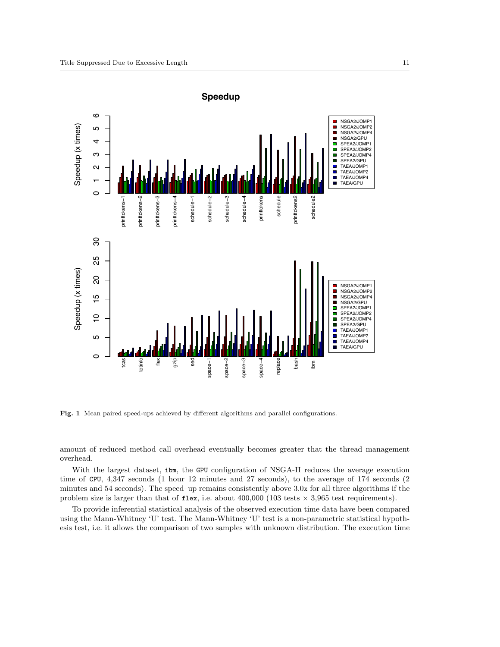

Fig. 1 Mean paired speed-ups achieved by different algorithms and parallel configurations.

amount of reduced method call overhead eventually becomes greater that the thread management overhead.

With the largest dataset, ibm, the GPU configuration of NSGA-II reduces the average execution time of CPU, 4,347 seconds (1 hour 12 minutes and 27 seconds), to the average of 174 seconds (2 minutes and 54 seconds). The speed–up remains consistently above 3.0x for all three algorithms if the problem size is larger than that of flex, i.e. about 400,000 (103 tests  $\times$  3,965 test requirements).

To provide inferential statistical analysis of the observed execution time data have been compared using the Mann-Whitney 'U' test. The Mann-Whitney 'U' test is a non-parametric statistical hypothesis test, i.e. it allows the comparison of two samples with unknown distribution. The execution time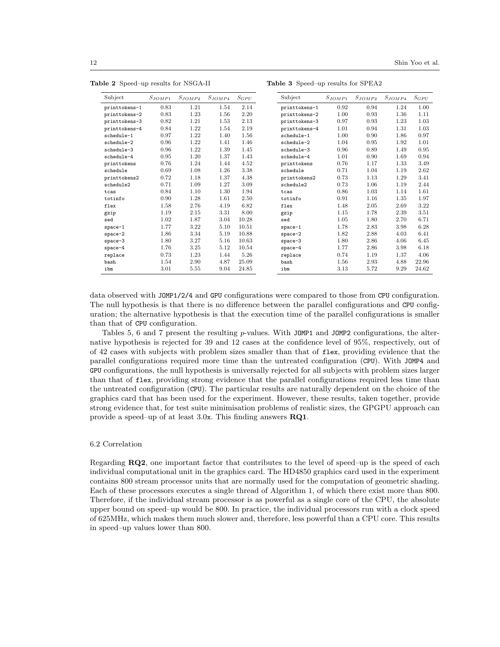Table 2 Speed–up results for NSGA-II

Table 3 Speed–up results for SPEA2

| Subject       | $S_{JOMP1}$ | $S_{JOMP2}$ | $S_{JOMP4}$ | $S_{GPU}$ | Subject       | $S_{JOMP1}$ | $S_{JOMP2}$ | $\mathcal{S}_{JOMP4}$ | $S_{GPU}$ |
|---------------|-------------|-------------|-------------|-----------|---------------|-------------|-------------|-----------------------|-----------|
| printtokens-1 | 0.83        | 1.21        | 1.54        | 2.14      | printtokens-1 | 0.92        | 0.94        | 1.24                  | 1.00      |
| printtokens-2 | 0.83        | 1.23        | 1.56        | 2.20      | printtokens-2 | 1.00        | 0.93        | 1.36                  | 1.11      |
| printtokens-3 | 0.82        | 1.21        | 1.53        | 2.13      | printtokens-3 | 0.97        | 0.93        | 1.23                  | 1.03      |
| printtokens-4 | 0.84        | 1.22        | 1.54        | 2.19      | printtokens-4 | 1.01        | 0.94        | 1.31                  | 1.03      |
| schedule-1    | 0.97        | 1.22        | 1.40        | 1.56      | schedule-1    | 1.00        | 0.90        | 1.86                  | 0.97      |
| schedule-2    | 0.96        | 1.22        | 1.41        | 1.46      | schedule-2    | 1.04        | 0.95        | 1.92                  | 1.01      |
| schedule-3    | 0.96        | 1.22        | 1.39        | 1.45      | schedule-3    | 0.96        | 0.89        | 1.49                  | 0.95      |
| schedule-4    | 0.95        | 1.20        | 1.37        | 1.43      | schedule-4    | 1.01        | 0.90        | 1.69                  | 0.94      |
| printtokens   | 0.76        | 1.24        | 1.44        | 4.52      | printtokens   | 0.76        | 1.17        | 1.33                  | 3.49      |
| schedule      | 0.69        | 1.08        | 1.26        | 3.38      | schedule      | 0.71        | 1.04        | 1.19                  | 2.62      |
| printtokens2  | 0.72        | 1.18        | 1.37        | 4.38      | printtokens2  | 0.73        | 1.13        | 1.29                  | 3.41      |
| schedule2     | 0.71        | 1.09        | 1.27        | 3.09      | schedule2     | 0.73        | 1.06        | 1.19                  | 2.44      |
| tcas          | 0.84        | 1.10        | 1.30        | 1.94      | tcas          | 0.86        | 1.03        | 1.14                  | 1.61      |
| totinfo       | 0.90        | 1.28        | 1.61        | 2.50      | totinfo       | 0.91        | 1.16        | 1.35                  | 1.97      |
| flex          | 1.58        | 2.76        | 4.19        | 6.82      | flex          | 1.48        | 2.05        | 2.69                  | 3.22      |
| gzip          | 1.19        | 2.15        | $3.31\,$    | 8.00      | gzip          | 1.15        | 1.78        | 2.39                  | 3.51      |
| sed           | 1.02        | 1.87        | 3.04        | 10.28     | sed           | 1.05        | 1.80        | 2.70                  | 6.71      |
| $space-1$     | 1.77        | 3.22        | 5.10        | 10.51     | $space-1$     | 1.78        | 2.83        | 3.98                  | 6.28      |
| $space-2$     | 1.86        | 3.34        | 5.19        | 10.88     | $space-2$     | 1.82        | 2.88        | 4.03                  | 6.41      |
| $space-3$     | 1.80        | 3.27        | 5.16        | 10.63     | $space-3$     | 1.80        | 2.86        | 4.06                  | 6.45      |
| $space-4$     | 1.76        | 3.25        | 5.12        | 10.54     | $space-4$     | 1.77        | 2.86        | 3.98                  | 6.18      |
| replace       | 0.73        | 1.23        | 1.44        | 5.26      | replace       | 0.74        | 1.19        | 1.37                  | 4.06      |
| bash          | 1.54        | 2.90        | 4.87        | 25.09     | bash          | 1.56        | 2.93        | 4.88                  | 22.96     |
| ibm           | 3.01        | 5.55        | 9.04        | 24.85     | ibm           | 3.13        | 5.72        | 9.29                  | 24.62     |

data observed with JOMP1/2/4 and GPU configurations were compared to those from CPU configuration. The null hypothesis is that there is no difference between the parallel configurations and CPU configuration; the alternative hypothesis is that the execution time of the parallel configurations is smaller than that of CPU configuration.

Tables 5, 6 and 7 present the resulting  $p$ -values. With JOMP1 and JOMP2 configurations, the alternative hypothesis is rejected for 39 and 12 cases at the confidence level of 95%, respectively, out of of 42 cases with subjects with problem sizes smaller than that of flex, providing evidence that the parallel configurations required more time than the untreated configuration (CPU). With JOMP4 and GPU configurations, the null hypothesis is universally rejected for all subjects with problem sizes larger than that of flex, providing strong evidence that the parallel configurations required less time than the untreated configuration (CPU). The particular results are naturally dependent on the choice of the graphics card that has been used for the experiment. However, these results, taken together, provide strong evidence that, for test suite minimisation problems of realistic sizes, the GPGPU approach can provide a speed–up of at least  $3.0x$ . This finding answers  $\bf RQ1$ .

## 6.2 Correlation

Regarding RQ2, one important factor that contributes to the level of speed–up is the speed of each individual computational unit in the graphics card. The HD4850 graphics card used in the experiment contains 800 stream processor units that are normally used for the computation of geometric shading. Each of these processors executes a single thread of Algorithm 1, of which there exist more than 800. Therefore, if the individual stream processor is as powerful as a single core of the CPU, the absolute upper bound on speed–up would be 800. In practice, the individual processors run with a clock speed of 625MHz, which makes them much slower and, therefore, less powerful than a CPU core. This results in speed–up values lower than 800.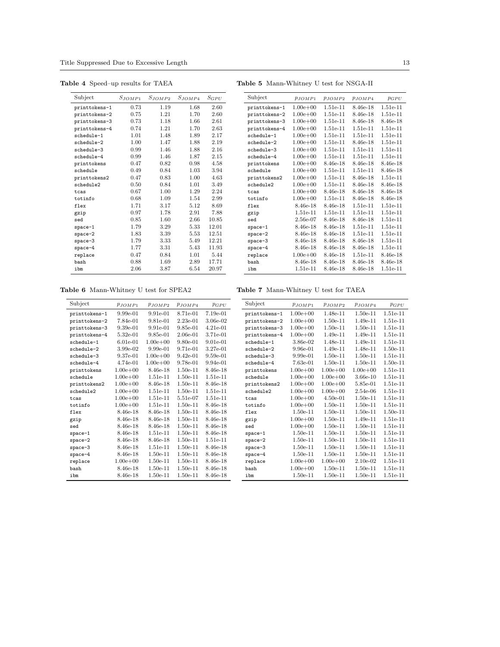| Subject       | $S_{JOMP1}$ | $S_{JOMP2}$ | $S_{JOMP4}$ | $S_{GPU}$ |
|---------------|-------------|-------------|-------------|-----------|
| printtokens-1 | 0.73        | 1.19        | 1.68        | 2.60      |
| printtokens-2 | 0.75        | 1.21        | 1.70        | 2.60      |
| printtokens-3 | 0.73        | 1.18        | 1.66        | 2.61      |
| printtokens-4 | 0.74        | 1.21        | 1.70        | 2.63      |
| schedule-1    | 1.01        | 1.48        | 1.89        | 2.17      |
| schedule-2    | 1.00        | 1.47        | 1.88        | 2.19      |
| schedule-3    | 0.99        | 1.46        | 1.88        | 2.16      |
| schedule-4    | 0.99        | 1.46        | 1.87        | 2.15      |
| printtokens   | 0.47        | 0.82        | 0.98        | 4.58      |
| schedule      | 0.49        | 0.84        | 1.03        | 3.94      |
| printtokens2  | 0.47        | 0.83        | 1.00        | 4.63      |
| schedule2     | 0.50        | 0.84        | 1.01        | 3.49      |
| tcas          | 0.67        | 1.00        | 1.29        | 2.24      |
| totinfo       | 0.68        | 1.09        | 1.54        | 2.99      |
| flex          | 1.71        | 3.17        | 5.12        | 8.69      |
| gzip          | 0.97        | 1.78        | 2.91        | 7.88      |
| sed           | 0.85        | 1.60        | 2.66        | 10.85     |
| $space-1$     | 1.79        | 3.29        | 5.33        | 12.01     |
| $space-2$     | 1.83        | 3.39        | 5.53        | 12.51     |
| $space-3$     | 1.79        | 3.33        | 5.49        | 12.21     |
| $space-4$     | 1.77        | 3.31        | 5.43        | 11.93     |
| replace       | 0.47        | 0.84        | 1.01        | 5.44      |
| bash          | 0.88        | 1.69        | 2.89        | 17.71     |
| ibm           | 2.06        | 3.87        | 6.54        | 20.97     |

|  | <b>Table 4</b> Speed-up results for TAEA |  |  |  |
|--|------------------------------------------|--|--|--|
|--|------------------------------------------|--|--|--|

Table 5 Mann-Whitney U test for NSGA-II

| Subject       | $p_{JOMP1}$  | $p_{JOMP2}$ | $p_{JOMP4}$ | $p_{GPU}$ |
|---------------|--------------|-------------|-------------|-----------|
| printtokens-1 | $1.00e + 00$ | $1.51e-11$  | 8.46e-18    | 1.51e-11  |
| printtokens-2 | $1.00e + 00$ | 1.51e-11    | 8.46e-18    | 1.51e-11  |
| printtokens-3 | $1.00e + 00$ | $1.51e-11$  | 8.46e-18    | 8.46e-18  |
| printtokens-4 | $1.00e + 00$ | $1.51e-11$  | 1.51e-11    | 1.51e-11  |
| schedule-1    | $1.00e + 00$ | $1.51e-11$  | 1.51e-11    | 1.51e-11  |
| schedule-2    | $1.00e + 00$ | $1.51e-11$  | 8.46e-18    | 1.51e-11  |
| schedule-3    | $1.00e + 00$ | 1.51e-11    | 1.51e-11    | 1.51e-11  |
| schedule-4    | $1.00e + 00$ | $1.51e-11$  | 1.51e-11    | 1.51e-11  |
| printtokens   | $1.00e + 00$ | 8.46e-18    | 8.46e-18    | 8.46e-18  |
| schedule      | $1.00e + 00$ | $1.51e-11$  | 1.51e-11    | 8.46e-18  |
| printtokens2  | $1.00e + 00$ | $1.51e-11$  | 8.46e-18    | 1.51e-11  |
| schedule2     | $1.00e + 00$ | 1.51e-11    | 8.46e-18    | 8.46e-18  |
| tcas          | $1.00e + 00$ | 8.46e-18    | 8.46e-18    | 8.46e-18  |
| totinfo       | $1.00e + 00$ | 1.51e-11    | 8.46e-18    | 8.46e-18  |
| flex          | 8.46e-18     | 8.46e-18    | $1.51e-11$  | 1.51e-11  |
| gzip          | $1.51e-11$   | $1.51e-11$  | 1.51e-11    | 1.51e-11  |
| sed           | 2.56e-07     | 8.46e-18    | 8.46e-18    | 1.51e-11  |
| $space-1$     | 8.46e-18     | 8.46e-18    | 1.51e-11    | 1.51e-11  |
| $space-2$     | 8.46e-18     | 8.46e-18    | 1.51e-11    | 1.51e-11  |
| $space-3$     | 8.46e-18     | 8.46e-18    | 8.46e-18    | 1.51e-11  |
| $space-4$     | 8.46e-18     | 8.46e-18    | 8.46e-18    | 1.51e-11  |
| replace       | $1.00e + 00$ | 8.46e-18    | 1.51e-11    | 8.46e-18  |
| bash          | 8.46e-18     | 8.46e-18    | 8.46e-18    | 8.46e-18  |
| ibm           | $1.51e-11$   | 8.46e-18    | 8.46e-18    | 1.51e-11  |

# Table 6 Mann-Whitney U test for SPEA2

## Table 7 Mann-Whitney U test for TAEA

| Subject       | $P_{JOMP1}$  | $p_{JOMP2}$  | $p_{JOMP4}$ | $p_{GPU}$  | Subject       | $p_{JOMP1}$  | $p_{JOMP2}$  | $p_{JOMP4}$  | $p_{GPU}$  |
|---------------|--------------|--------------|-------------|------------|---------------|--------------|--------------|--------------|------------|
| printtokens-1 | $9.99e-01$   | $9.91e-01$   | 8.71e-01    | $7.19e-01$ | printtokens-1 | $1.00e + 00$ | 1.48e-11     | $1.50e-11$   | $1.51e-11$ |
| printtokens-2 | 7.84e-01     | 9.81e-01     | $2.23e-01$  | $3.06e-02$ | printtokens-2 | $1.00e + 00$ | $1.50e-11$   | 1.49e-11     | $1.51e-11$ |
| printtokens-3 | $9.39e-01$   | $9.91e-01$   | $9.85e-01$  | $4.21e-01$ | printtokens-3 | $1.00e + 00$ | $1.50e-11$   | $1.50e-11$   | 1.51e-11   |
| printtokens-4 | $5.32e-01$   | 9.85e-01     | $2.06e-01$  | 3.71e-01   | printtokens-4 | $1.00e + 00$ | 1.49e-11     | 1.49e-11     | $1.51e-11$ |
| schedule-1    | $6.01e-01$   | $1.00e + 00$ | $9.80e-01$  | $9.01e-01$ | schedule-1    | 3.86e-02     | 1.48e-11     | 1.49e-11     | $1.51e-11$ |
| schedule-2    | 3.99e-02     | $9.99e-01$   | 9.71e-01    | $3.27e-01$ | schedule-2    | $9.96e-01$   | 1.49e-11     | 1.48e-11     | $1.50e-11$ |
| schedule-3    | 9.37e-01     | $1.00e + 00$ | $9.42e-01$  | $9.59e-01$ | schedule-3    | $9.99e-01$   | $1.50e-11$   | $1.50e-11$   | $1.51e-11$ |
| schedule-4    | 4.74e-01     | $1.00e + 00$ | 9.78e-01    | $9.94e-01$ | schedule-4    | $7.63e-01$   | $1.50e-11$   | $1.50e-11$   | $1.50e-11$ |
| printtokens   | $1.00e + 00$ | 8.46e-18     | $1.50e-11$  | 8.46e-18   | printtokens   | $1.00e + 00$ | $1.00e + 00$ | $1.00e + 00$ | $1.51e-11$ |
| schedule      | $1.00e + 00$ | $1.51e-11$   | $1.50e-11$  | $1.51e-11$ | schedule      | $1.00e + 00$ | $1.00e + 00$ | $3.66e-10$   | 1.51e-11   |
| printtokens2  | $1.00e + 00$ | 8.46e-18     | $1.50e-11$  | 8.46e-18   | printtokens2  | $1.00e + 00$ | $1.00e + 00$ | 5.85e-01     | $1.51e-11$ |
| schedule2     | $1.00e + 00$ | 1.51e-11     | $1.50e-11$  | $1.51e-11$ | schedule2     | $1.00e + 00$ | $1.00e + 00$ | $2.54e-06$   | 1.51e-11   |
| tcas          | $1.00e + 00$ | $1.51e-11$   | 5.51e-07    | $1.51e-11$ | tcas          | $1.00e + 00$ | $4.50e-01$   | $1.50e-11$   | $1.51e-11$ |
| totinfo       | $1.00e + 00$ | $1.51e-11$   | $1.50e-11$  | 8.46e-18   | totinfo       | $1.00e + 00$ | $1.50e-11$   | $1.50e-11$   | 1.51e-11   |
| flex          | 8.46e-18     | 8.46e-18     | $1.50e-11$  | 8.46e-18   | flex          | $1.50e-11$   | $1.50e-11$   | $1.50e-11$   | $1.50e-11$ |
| gzip          | 8.46e-18     | 8.46e-18     | $1.50e-11$  | 8.46e-18   | gzip          | $1.00e + 00$ | $1.50e-11$   | 1.49e-11     | 1.51e-11   |
| sed           | 8.46e-18     | 8.46e-18     | $1.50e-11$  | 8.46e-18   | sed           | $1.00e + 00$ | $1.50e-11$   | $1.50e-11$   | 1.51e-11   |
| $space-1$     | 8.46e-18     | $1.51e-11$   | $1.50e-11$  | 8.46e-18   | $space-1$     | $1.50e-11$   | $1.50e-11$   | $1.50e-11$   | $1.51e-11$ |
| $space-2$     | 8.46e-18     | 8.46e-18     | $1.50e-11$  | $1.51e-11$ | $space-2$     | $1.50e-11$   | $1.50e-11$   | $1.50e-11$   | $1.51e-11$ |
| $space-3$     | 8.46e-18     | $1.51e-11$   | $1.50e-11$  | 8.46e-18   | $space-3$     | $1.50e-11$   | $1.50e-11$   | $1.50e-11$   | $1.51e-11$ |
| $space-4$     | 8.46e-18     | $1.50e-11$   | $1.50e-11$  | 8.46e-18   | $space-4$     | $1.50e-11$   | $1.50e-11$   | $1.50e-11$   | $1.51e-11$ |
| replace       | $1.00e + 00$ | $1.50e-11$   | $1.50e-11$  | 8.46e-18   | replace       | $1.00e + 00$ | $1.00e + 00$ | $2.10e-02$   | $1.51e-11$ |
| bash          | 8.46e-18     | $1.50e-11$   | $1.50e-11$  | 8.46e-18   | bash          | $1.00e + 00$ | $1.50e-11$   | $1.50e-11$   | $1.51e-11$ |
| ibm           | 8.46e-18     | $1.50e-11$   | $1.50e-11$  | 8.46e-18   | ibm           | $1.50e-11$   | $1.50e-11$   | $1.50e-11$   | $1.51e-11$ |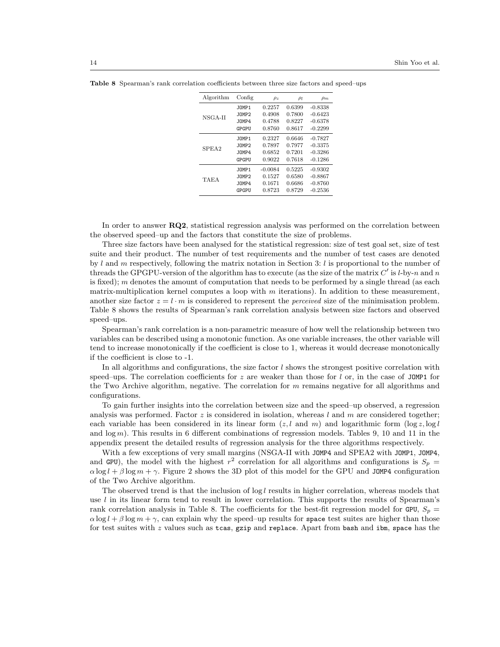| Algorithm | Config | $\rho_z$  | $\rho_l$ | $\rho_m$  |
|-----------|--------|-----------|----------|-----------|
|           | JOMP1  | 0.2257    | 0.6399   | $-0.8338$ |
| NSGA-II   | J0MP2  | 0.4908    | 0.7800   | $-0.6423$ |
|           | J0MP4  | 0.4788    | 0.8227   | $-0.6378$ |
|           | GPGPU  | 0.8760    | 0.8617   | $-0.2299$ |
|           | JOMP1  | 0.2327    | 0.6646   | $-0.7827$ |
| SPEA2     | J0MP2  | 0.7897    | 0.7977   | $-0.3375$ |
|           | J0MP4  | 0.6852    | 0.7201   | $-0.3286$ |
|           | GPGPU  | 0.9022    | 0.7618   | $-0.1286$ |
|           | JOMP1  | $-0.0084$ | 0.5225   | $-0.9302$ |
| TAEA      | J0MP2  | 0.1527    | 0.6580   | $-0.8867$ |
|           | JOMP4  | 0.1671    | 0.6686   | $-0.8760$ |
|           | GPGPU  | 0.8723    | 0.8729   | $-0.2536$ |

Table 8 Spearman's rank correlation coefficients between three size factors and speed–ups

In order to answer RQ2, statistical regression analysis was performed on the correlation between the observed speed–up and the factors that constitute the size of problems.

Three size factors have been analysed for the statistical regression: size of test goal set, size of test suite and their product. The number of test requirements and the number of test cases are denoted by l and m respectively, following the matrix notation in Section 3: l is proportional to the number of threads the GPGPU-version of the algorithm has to execute (as the size of the matrix  $C'$  is *l*-by-n and n is fixed); m denotes the amount of computation that needs to be performed by a single thread (as each matrix-multiplication kernel computes a loop with  $m$  iterations). In addition to these measurement, another size factor  $z = l \cdot m$  is considered to represent the *perceived* size of the minimisation problem. Table 8 shows the results of Spearman's rank correlation analysis between size factors and observed speed–ups.

Spearman's rank correlation is a non-parametric measure of how well the relationship between two variables can be described using a monotonic function. As one variable increases, the other variable will tend to increase monotonically if the coefficient is close to 1, whereas it would decrease monotonically if the coefficient is close to -1.

In all algorithms and configurations, the size factor  $l$  shows the strongest positive correlation with speed–ups. The correlation coefficients for z are weaker than those for  $l$  or, in the case of JOMP1 for the Two Archive algorithm, negative. The correlation for  $m$  remains negative for all algorithms and configurations.

To gain further insights into the correlation between size and the speed–up observed, a regression analysis was performed. Factor  $z$  is considered in isolation, whereas  $l$  and  $m$  are considered together; each variable has been considered in its linear form  $(z, l \text{ and } m)$  and logarithmic form  $(\log z, \log l)$ and  $\log m$ ). This results in 6 different combinations of regression models. Tables 9, 10 and 11 in the appendix present the detailed results of regression analysis for the three algorithms respectively.

With a few exceptions of very small margins (NSGA-II with JOMP4 and SPEA2 with JOMP1, JOMP4, and GPU), the model with the highest  $r^2$  correlation for all algorithms and configurations is  $S_p =$  $\alpha \log l + \beta \log m + \gamma$ . Figure 2 shows the 3D plot of this model for the GPU and JOMP4 configuration of the Two Archive algorithm.

The observed trend is that the inclusion of  $\log l$  results in higher correlation, whereas models that use l in its linear form tend to result in lower correlation. This supports the results of Spearman's rank correlation analysis in Table 8. The coefficients for the best-fit regression model for GPU,  $S_p =$  $\alpha \log l + \beta \log m + \gamma$ , can explain why the speed–up results for space test suites are higher than those for test suites with  $z$  values such as tcas, gzip and replace. Apart from bash and ibm, space has the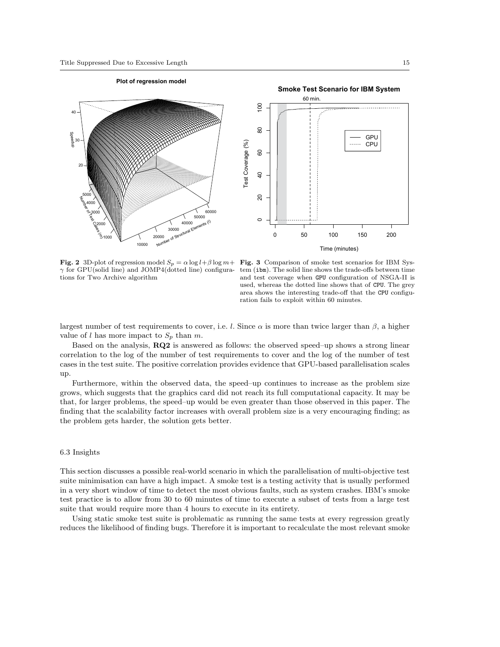#### **Plot of regression model**





 $\gamma$  for GPU(solid line) and JOMP4(dotted line) configurations for Two Archive algorithm

Fig. 2 3D-plot of regression model  $S_p = \alpha \log l + \beta \log m +$  Fig. 3 Comparison of smoke test scenarios for IBM System (ibm). The solid line shows the trade-offs between time and test coverage when GPU configuration of NSGA-II is used, whereas the dotted line shows that of CPU. The grey area shows the interesting trade-off that the CPU configuration fails to exploit within 60 minutes.

largest number of test requirements to cover, i.e. l. Since  $\alpha$  is more than twice larger than  $\beta$ , a higher value of l has more impact to  $S_p$  than m.

Based on the analysis, RQ2 is answered as follows: the observed speed–up shows a strong linear correlation to the log of the number of test requirements to cover and the log of the number of test cases in the test suite. The positive correlation provides evidence that GPU-based parallelisation scales up.

Furthermore, within the observed data, the speed–up continues to increase as the problem size grows, which suggests that the graphics card did not reach its full computational capacity. It may be that, for larger problems, the speed–up would be even greater than those observed in this paper. The finding that the scalability factor increases with overall problem size is a very encouraging finding; as the problem gets harder, the solution gets better.

## 6.3 Insights

This section discusses a possible real-world scenario in which the parallelisation of multi-objective test suite minimisation can have a high impact. A smoke test is a testing activity that is usually performed in a very short window of time to detect the most obvious faults, such as system crashes. IBM's smoke test practice is to allow from 30 to 60 minutes of time to execute a subset of tests from a large test suite that would require more than 4 hours to execute in its entirety.

Using static smoke test suite is problematic as running the same tests at every regression greatly reduces the likelihood of finding bugs. Therefore it is important to recalculate the most relevant smoke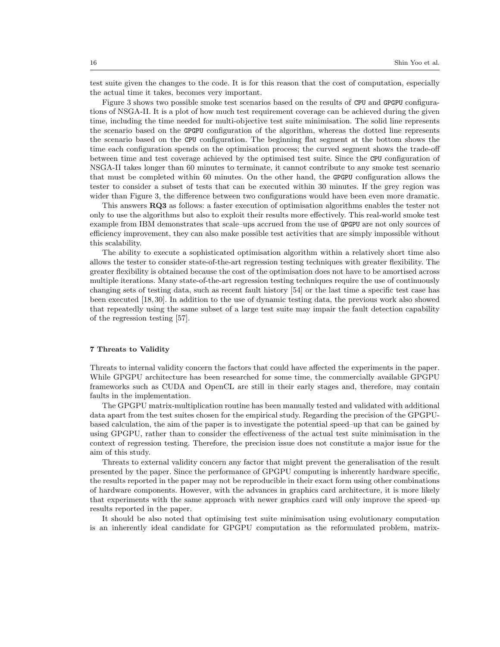test suite given the changes to the code. It is for this reason that the cost of computation, especially the actual time it takes, becomes very important.

Figure 3 shows two possible smoke test scenarios based on the results of CPU and GPGPU configurations of NSGA-II. It is a plot of how much test requirement coverage can be achieved during the given time, including the time needed for multi-objective test suite minimisation. The solid line represents the scenario based on the GPGPU configuration of the algorithm, whereas the dotted line represents the scenario based on the CPU configuration. The beginning flat segment at the bottom shows the time each configuration spends on the optimisation process; the curved segment shows the trade-off between time and test coverage achieved by the optimised test suite. Since the CPU configuration of NSGA-II takes longer than 60 minutes to terminate, it cannot contribute to any smoke test scenario that must be completed within 60 minutes. On the other hand, the GPGPU configuration allows the tester to consider a subset of tests that can be executed within 30 minutes. If the grey region was wider than Figure 3, the difference between two configurations would have been even more dramatic.

This answers RQ3 as follows: a faster execution of optimisation algorithms enables the tester not only to use the algorithms but also to exploit their results more effectively. This real-world smoke test example from IBM demonstrates that scale–ups accrued from the use of GPGPU are not only sources of efficiency improvement, they can also make possible test activities that are simply impossible without this scalability.

The ability to execute a sophisticated optimisation algorithm within a relatively short time also allows the tester to consider state-of-the-art regression testing techniques with greater flexibility. The greater flexibility is obtained because the cost of the optimisation does not have to be amortised across multiple iterations. Many state-of-the-art regression testing techniques require the use of continuously changing sets of testing data, such as recent fault history [54] or the last time a specific test case has been executed [18, 30]. In addition to the use of dynamic testing data, the previous work also showed that repeatedly using the same subset of a large test suite may impair the fault detection capability of the regression testing [57].

#### 7 Threats to Validity

Threats to internal validity concern the factors that could have affected the experiments in the paper. While GPGPU architecture has been researched for some time, the commercially available GPGPU frameworks such as CUDA and OpenCL are still in their early stages and, therefore, may contain faults in the implementation.

The GPGPU matrix-multiplication routine has been manually tested and validated with additional data apart from the test suites chosen for the empirical study. Regarding the precision of the GPGPUbased calculation, the aim of the paper is to investigate the potential speed–up that can be gained by using GPGPU, rather than to consider the effectiveness of the actual test suite minimisation in the context of regression testing. Therefore, the precision issue does not constitute a major issue for the aim of this study.

Threats to external validity concern any factor that might prevent the generalisation of the result presented by the paper. Since the performance of GPGPU computing is inherently hardware specific, the results reported in the paper may not be reproducible in their exact form using other combinations of hardware components. However, with the advances in graphics card architecture, it is more likely that experiments with the same approach with newer graphics card will only improve the speed–up results reported in the paper.

It should be also noted that optimising test suite minimisation using evolutionary computation is an inherently ideal candidate for GPGPU computation as the reformulated problem, matrix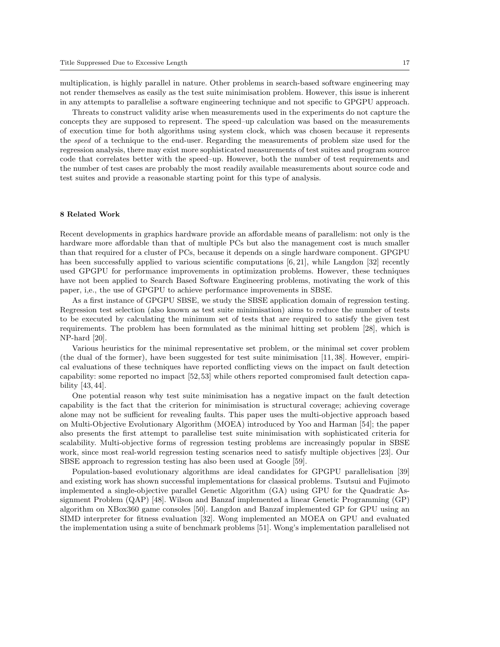multiplication, is highly parallel in nature. Other problems in search-based software engineering may not render themselves as easily as the test suite minimisation problem. However, this issue is inherent in any attempts to parallelise a software engineering technique and not specific to GPGPU approach.

Threats to construct validity arise when measurements used in the experiments do not capture the concepts they are supposed to represent. The speed–up calculation was based on the measurements of execution time for both algorithms using system clock, which was chosen because it represents the speed of a technique to the end-user. Regarding the measurements of problem size used for the regression analysis, there may exist more sophisticated measurements of test suites and program source code that correlates better with the speed–up. However, both the number of test requirements and the number of test cases are probably the most readily available measurements about source code and test suites and provide a reasonable starting point for this type of analysis.

## 8 Related Work

Recent developments in graphics hardware provide an affordable means of parallelism: not only is the hardware more affordable than that of multiple PCs but also the management cost is much smaller than that required for a cluster of PCs, because it depends on a single hardware component. GPGPU has been successfully applied to various scientific computations [6, 21], while Langdon [32] recently used GPGPU for performance improvements in optimization problems. However, these techniques have not been applied to Search Based Software Engineering problems, motivating the work of this paper, i,e., the use of GPGPU to achieve performance improvements in SBSE.

As a first instance of GPGPU SBSE, we study the SBSE application domain of regression testing. Regression test selection (also known as test suite minimisation) aims to reduce the number of tests to be executed by calculating the minimum set of tests that are required to satisfy the given test requirements. The problem has been formulated as the minimal hitting set problem [28], which is NP-hard [20].

Various heuristics for the minimal representative set problem, or the minimal set cover problem (the dual of the former), have been suggested for test suite minimisation [11, 38]. However, empirical evaluations of these techniques have reported conflicting views on the impact on fault detection capability: some reported no impact [52, 53] while others reported compromised fault detection capability [43, 44].

One potential reason why test suite minimisation has a negative impact on the fault detection capability is the fact that the criterion for minimisation is structural coverage; achieving coverage alone may not be sufficient for revealing faults. This paper uses the multi-objective approach based on Multi-Objective Evolutionary Algorithm (MOEA) introduced by Yoo and Harman [54]; the paper also presents the first attempt to parallelise test suite minimisation with sophisticated criteria for scalability. Multi-objective forms of regression testing problems are increasingly popular in SBSE work, since most real-world regression testing scenarios need to satisfy multiple objectives [23]. Our SBSE approach to regression testing has also been used at Google [59].

Population-based evolutionary algorithms are ideal candidates for GPGPU parallelisation [39] and existing work has shown successful implementations for classical problems. Tsutsui and Fujimoto implemented a single-objective parallel Genetic Algorithm (GA) using GPU for the Quadratic Assignment Problem (QAP) [48]. Wilson and Banzaf implemented a linear Genetic Programming (GP) algorithm on XBox360 game consoles [50]. Langdon and Banzaf implemented GP for GPU using an SIMD interpreter for fitness evaluation [32]. Wong implemented an MOEA on GPU and evaluated the implementation using a suite of benchmark problems [51]. Wong's implementation parallelised not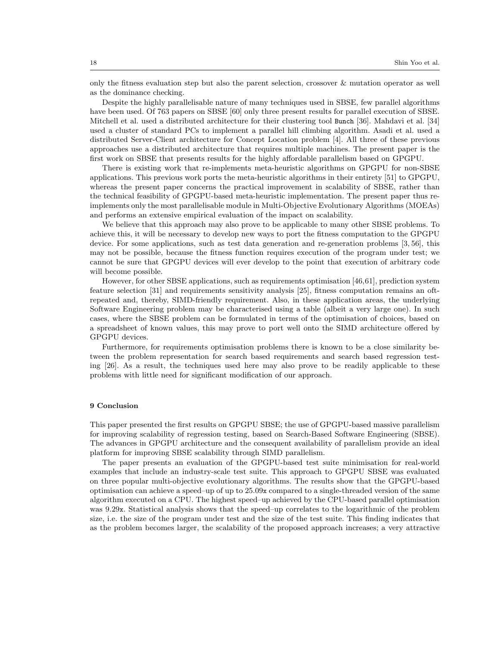only the fitness evaluation step but also the parent selection, crossover & mutation operator as well as the dominance checking.

Despite the highly parallelisable nature of many techniques used in SBSE, few parallel algorithms have been used. Of 763 papers on SBSE [60] only three present results for parallel execution of SBSE. Mitchell et al. used a distributed architecture for their clustering tool Bunch [36]. Mahdavi et al. [34] used a cluster of standard PCs to implement a parallel hill climbing algorithm. Asadi et al. used a distributed Server-Client architecture for Concept Location problem [4]. All three of these previous approaches use a distributed architecture that requires multiple machines. The present paper is the first work on SBSE that presents results for the highly affordable parallelism based on GPGPU.

There is existing work that re-implements meta-heuristic algorithms on GPGPU for non-SBSE applications. This previous work ports the meta-heuristic algorithms in their entirety [51] to GPGPU, whereas the present paper concerns the practical improvement in scalability of SBSE, rather than the technical feasibility of GPGPU-based meta-heuristic implementation. The present paper thus reimplements only the most parallelisable module in Multi-Objective Evolutionary Algorithms (MOEAs) and performs an extensive empirical evaluation of the impact on scalability.

We believe that this approach may also prove to be applicable to many other SBSE problems. To achieve this, it will be necessary to develop new ways to port the fitness computation to the GPGPU device. For some applications, such as test data generation and re-generation problems [3, 56], this may not be possible, because the fitness function requires execution of the program under test; we cannot be sure that GPGPU devices will ever develop to the point that execution of arbitrary code will become possible.

However, for other SBSE applications, such as requirements optimisation [46,61], prediction system feature selection [31] and requirements sensitivity analysis [25], fitness computation remains an oftrepeated and, thereby, SIMD-friendly requirement. Also, in these application areas, the underlying Software Engineering problem may be characterised using a table (albeit a very large one). In such cases, where the SBSE problem can be formulated in terms of the optimisation of choices, based on a spreadsheet of known values, this may prove to port well onto the SIMD architecture offered by GPGPU devices.

Furthermore, for requirements optimisation problems there is known to be a close similarity between the problem representation for search based requirements and search based regression testing [26]. As a result, the techniques used here may also prove to be readily applicable to these problems with little need for significant modification of our approach.

#### 9 Conclusion

This paper presented the first results on GPGPU SBSE; the use of GPGPU-based massive parallelism for improving scalability of regression testing, based on Search-Based Software Engineering (SBSE). The advances in GPGPU architecture and the consequent availability of parallelism provide an ideal platform for improving SBSE scalability through SIMD parallelism.

The paper presents an evaluation of the GPGPU-based test suite minimisation for real-world examples that include an industry-scale test suite. This approach to GPGPU SBSE was evaluated on three popular multi-objective evolutionary algorithms. The results show that the GPGPU-based optimisation can achieve a speed–up of up to 25.09x compared to a single-threaded version of the same algorithm executed on a CPU. The highest speed–up achieved by the CPU-based parallel optimisation was 9.29x. Statistical analysis shows that the speed–up correlates to the logarithmic of the problem size, i.e. the size of the program under test and the size of the test suite. This finding indicates that as the problem becomes larger, the scalability of the proposed approach increases; a very attractive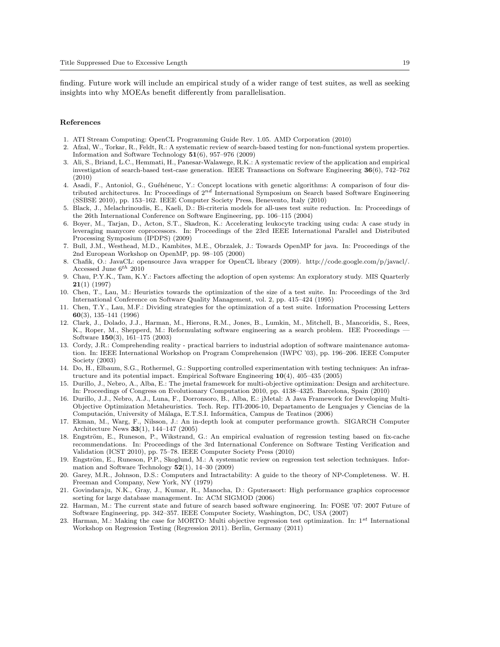finding. Future work will include an empirical study of a wider range of test suites, as well as seeking insights into why MOEAs benefit differently from parallelisation.

#### References

- 1. ATI Stream Computing: OpenCL Programming Guide Rev. 1.05. AMD Corporation (2010)
- 2. Afzal, W., Torkar, R., Feldt, R.: A systematic review of search-based testing for non-functional system properties. Information and Software Technology  $51(6)$ , 957–976 (2009)
- 3. Ali, S., Briand, L.C., Hemmati, H., Panesar-Walawege, R.K.: A systematic review of the application and empirical investigation of search-based test-case generation. IEEE Transactions on Software Engineering 36(6), 742–762 (2010)
- 4. Asadi, F., Antoniol, G., Guéhéneuc, Y.: Concept locations with genetic algorithms: A comparison of four distributed architectures. In: Proceedings of  $2^{nd}$  International Symposium on Search based Software Engineering (SSBSE 2010), pp. 153–162. IEEE Computer Society Press, Benevento, Italy (2010)
- 5. Black, J., Melachrinoudis, E., Kaeli, D.: Bi-criteria models for all-uses test suite reduction. In: Proceedings of the 26th International Conference on Software Engineering, pp. 106–115 (2004)
- 6. Boyer, M., Tarjan, D., Acton, S.T., Skadron, K.: Accelerating leukocyte tracking using cuda: A case study in leveraging manycore coprocessors. In: Proceedings of the 23rd IEEE International Parallel and Distributed Processing Symposium (IPDPS) (2009)
- 7. Bull, J.M., Westhead, M.D., Kambites, M.E., Obrzalek, J.: Towards OpenMP for java. In: Proceedings of the 2nd European Workshop on OpenMP, pp. 98–105 (2000)
- 8. Chafik, O.: JavaCL: opensource Java wrapper for OpenCL library (2009). http://code.google.com/p/javacl/. Accessed June  $6^{th}$  2010
- 9. Chau, P.Y.K., Tam, K.Y.: Factors affecting the adoption of open systems: An exploratory study. MIS Quarterly 21(1) (1997)
- 10. Chen, T., Lau, M.: Heuristics towards the optimization of the size of a test suite. In: Proceedings of the 3rd International Conference on Software Quality Management, vol. 2, pp. 415–424 (1995)
- 11. Chen, T.Y., Lau, M.F.: Dividing strategies for the optimization of a test suite. Information Processing Letters 60(3), 135–141 (1996)
- 12. Clark, J., Dolado, J.J., Harman, M., Hierons, R.M., Jones, B., Lumkin, M., Mitchell, B., Mancoridis, S., Rees, K., Roper, M., Shepperd, M.: Reformulating software engineering as a search problem. IEE Proceedings -Software 150(3), 161–175 (2003)
- 13. Cordy, J.R.: Comprehending reality practical barriers to industrial adoption of software maintenance automation. In: IEEE International Workshop on Program Comprehension (IWPC '03), pp. 196–206. IEEE Computer Society (2003)
- 14. Do, H., Elbaum, S.G., Rothermel, G.: Supporting controlled experimentation with testing techniques: An infrastructure and its potential impact. Empirical Software Engineering  $10(4)$ ,  $405-435$  (2005)
- 15. Durillo, J., Nebro, A., Alba, E.: The jmetal framework for multi-objective optimization: Design and architecture. In: Proceedings of Congress on Evolutionary Computation 2010, pp. 4138–4325. Barcelona, Spain (2010)
- 16. Durillo, J.J., Nebro, A.J., Luna, F., Dorronsoro, B., Alba, E.: jMetal: A Java Framework for Developing Multi-Objective Optimization Metaheuristics. Tech. Rep. ITI-2006-10, Departamento de Lenguajes y Ciencias de la Computación, University of Málaga, E.T.S.I. Informática, Campus de Teatinos (2006)
- 17. Ekman, M., Warg, F., Nilsson, J.: An in-depth look at computer performance growth. SIGARCH Computer Architecture News 33(1), 144–147 (2005)
- 18. Engström, E., Runeson, P., Wikstrand, G.: An empirical evaluation of regression testing based on fix-cache recommendations. In: Proceedings of the 3rd International Conference on Software Testing Verification and Validation (ICST 2010), pp. 75–78. IEEE Computer Society Press (2010)
- 19. Engström, E., Runeson, P.P., Skoglund, M.: A systematic review on regression test selection techniques. Information and Software Technology  $52(1)$ , 14–30 (2009)
- 20. Garey, M.R., Johnson, D.S.: Computers and Intractability: A guide to the theory of NP-Completeness. W. H. Freeman and Company, New York, NY (1979)
- 21. Govindaraju, N.K., Gray, J., Kumar, R., Manocha, D.: Gputerasort: High performance graphics coprocessor sorting for large database management. In: ACM SIGMOD (2006)
- 22. Harman, M.: The current state and future of search based software engineering. In: FOSE '07: 2007 Future of Software Engineering, pp. 342–357. IEEE Computer Society, Washington, DC, USA (2007)
- 23. Harman, M.: Making the case for MORTO: Multi objective regression test optimization. In:  $1^{st}$  International Workshop on Regression Testing (Regression 2011). Berlin, Germany (2011)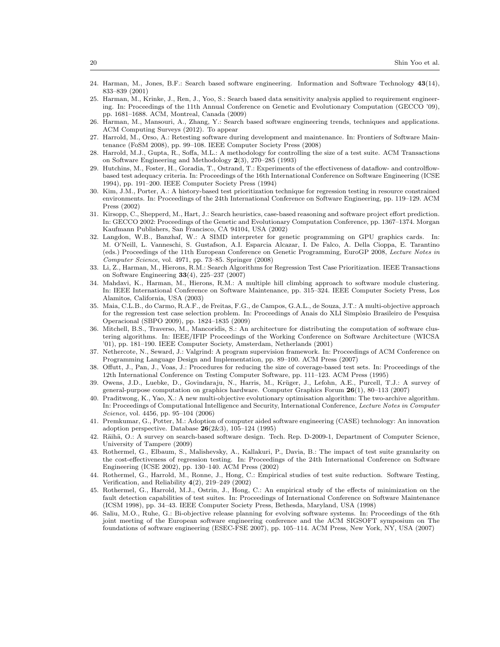- 24. Harman, M., Jones, B.F.: Search based software engineering. Information and Software Technology 43(14), 833–839 (2001)
- 25. Harman, M., Krinke, J., Ren, J., Yoo, S.: Search based data sensitivity analysis applied to requirement engineering. In: Proceedings of the 11th Annual Conference on Genetic and Evolutionary Computation (GECCO '09), pp. 1681–1688. ACM, Montreal, Canada (2009)
- 26. Harman, M., Mansouri, A., Zhang, Y.: Search based software engineering trends, techniques and applications. ACM Computing Surveys (2012). To appear
- 27. Harrold, M., Orso, A.: Retesting software during development and maintenance. In: Frontiers of Software Maintenance (FoSM 2008), pp. 99–108. IEEE Computer Society Press (2008)
- 28. Harrold, M.J., Gupta, R., Soffa, M.L.: A methodology for controlling the size of a test suite. ACM Transactions on Software Engineering and Methodology 2(3), 270–285 (1993)
- 29. Hutchins, M., Foster, H., Goradia, T., Ostrand, T.: Experiments of the effectiveness of dataflow- and controlflowbased test adequacy criteria. In: Proceedings of the 16th International Conference on Software Engineering (ICSE 1994), pp. 191–200. IEEE Computer Society Press (1994)
- 30. Kim, J.M., Porter, A.: A history-based test prioritization technique for regression testing in resource constrained environments. In: Proceedings of the 24th International Conference on Software Engineering, pp. 119–129. ACM Press (2002)
- 31. Kirsopp, C., Shepperd, M., Hart, J.: Search heuristics, case-based reasoning and software project effort prediction. In: GECCO 2002: Proceedings of the Genetic and Evolutionary Computation Conference, pp. 1367–1374. Morgan Kaufmann Publishers, San Francisco, CA 94104, USA (2002)
- 32. Langdon, W.B., Banzhaf, W.: A SIMD interpreter for genetic programming on GPU graphics cards. In: M. O'Neill, L. Vanneschi, S. Gustafson, A.I. Esparcia Alcazar, I. De Falco, A. Della Cioppa, E. Tarantino (eds.) Proceedings of the 11th European Conference on Genetic Programming, EuroGP 2008, Lecture Notes in Computer Science, vol. 4971, pp. 73–85. Springer (2008)
- 33. Li, Z., Harman, M., Hierons, R.M.: Search Algorithms for Regression Test Case Prioritization. IEEE Transactions on Software Engineering 33(4), 225–237 (2007)
- 34. Mahdavi, K., Harman, M., Hierons, R.M.: A multiple hill climbing approach to software module clustering. In: IEEE International Conference on Software Maintenance, pp. 315–324. IEEE Computer Society Press, Los Alamitos, California, USA (2003)
- 35. Maia, C.L.B., do Carmo, R.A.F., de Freitas, F.G., de Campos, G.A.L., de Souza, J.T.: A multi-objective approach for the regression test case selection problem. In: Proceedings of Anais do XLI Simpòsio Brasileiro de Pesquisa Operacional (SBPO 2009), pp. 1824–1835 (2009)
- 36. Mitchell, B.S., Traverso, M., Mancoridis, S.: An architecture for distributing the computation of software clustering algorithms. In: IEEE/IFIP Proceedings of the Working Conference on Software Architecture (WICSA '01), pp. 181–190. IEEE Computer Society, Amsterdam, Netherlands (2001)
- 37. Nethercote, N., Seward, J.: Valgrind: A program supervision framework. In: Proceedings of ACM Conference on Programming Language Design and Implementation, pp. 89–100. ACM Press (2007)
- 38. Offutt, J., Pan, J., Voas, J.: Procedures for reducing the size of coverage-based test sets. In: Proceedings of the 12th International Conference on Testing Computer Software, pp. 111–123. ACM Press (1995)
- 39. Owens, J.D., Luebke, D., Govindaraju, N., Harris, M., Krüger, J., Lefohn, A.E., Purcell, T.J.: A survey of general-purpose computation on graphics hardware. Computer Graphics Forum  $26(1)$ , 80–113 (2007)
- 40. Praditwong, K., Yao, X.: A new multi-objective evolutionary optimisation algorithm: The two-archive algorithm. In: Proceedings of Computational Intelligence and Security, International Conference, Lecture Notes in Computer Science, vol. 4456, pp. 95–104 (2006)
- 41. Premkumar, G., Potter, M.: Adoption of computer aided software engineering (CASE) technology: An innovation adoption perspective. Database 26(2&3), 105–124 (1995)
- Räihä, O.: A survey on search-based software design. Tech. Rep. D-2009-1, Department of Computer Science, University of Tampere (2009)
- 43. Rothermel, G., Elbaum, S., Malishevsky, A., Kallakuri, P., Davia, B.: The impact of test suite granularity on the cost-effectiveness of regression testing. In: Proceedings of the 24th International Conference on Software Engineering (ICSE 2002), pp. 130–140. ACM Press (2002)
- 44. Rothermel, G., Harrold, M., Ronne, J., Hong, C.: Empirical studies of test suite reduction. Software Testing, Verification, and Reliability  $4(2)$ ,  $219-249$   $(2002)$
- 45. Rothermel, G., Harrold, M.J., Ostrin, J., Hong, C.: An empirical study of the effects of minimization on the fault detection capabilities of test suites. In: Proceedings of International Conference on Software Maintenance (ICSM 1998), pp. 34–43. IEEE Computer Society Press, Bethesda, Maryland, USA (1998)
- 46. Saliu, M.O., Ruhe, G.: Bi-objective release planning for evolving software systems. In: Proceedings of the 6th joint meeting of the European software engineering conference and the ACM SIGSOFT symposium on The foundations of software engineering (ESEC-FSE 2007), pp. 105–114. ACM Press, New York, NY, USA (2007)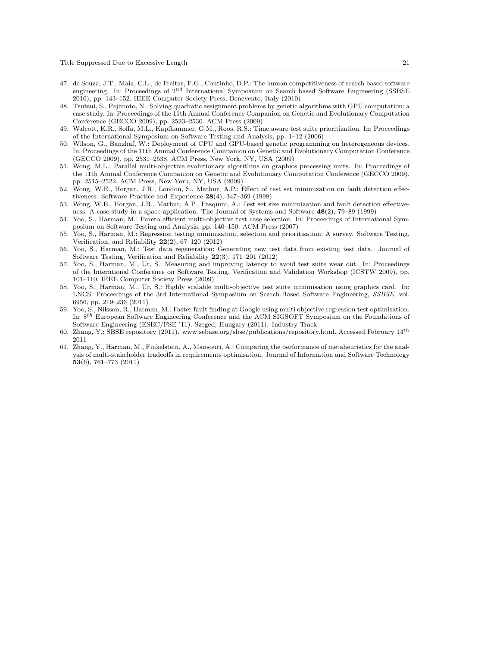- 47. de Souza, J.T., Maia, C.L., de Freitas, F.G., Coutinho, D.P.: The human competitiveness of search based software engineering. In: Proceedings of  $2^{nd}$  International Symposium on Search based Software Engineering (SSBSE) 2010), pp. 143–152. IEEE Computer Society Press, Benevento, Italy (2010)
- 48. Tsutsui, S., Fujimoto, N.: Solving quadratic assignment problems by genetic algorithms with GPU computation: a case study. In: Proceedings of the 11th Annual Conference Companion on Genetic and Evolutionary Computation Conference (GECCO 2009), pp. 2523–2530. ACM Press (2009)
- 49. Walcott, K.R., Soffa, M.L., Kapfhammer, G.M., Roos, R.S.: Time aware test suite prioritization. In: Proceedings of the International Symposium on Software Testing and Analysis, pp. 1–12 (2006)
- 50. Wilson, G., Banzhaf, W.: Deployment of CPU and GPU-based genetic programming on heterogeneous devices. In: Proceedings of the 11th Annual Conference Companion on Genetic and Evolutionary Computation Conference (GECCO 2009), pp. 2531–2538. ACM Press, New York, NY, USA (2009)
- 51. Wong, M.L.: Parallel multi-objective evolutionary algorithms on graphics processing units. In: Proceedings of the 11th Annual Conference Companion on Genetic and Evolutionary Computation Conference (GECCO 2009), pp. 2515–2522. ACM Press, New York, NY, USA (2009)
- 52. Wong, W.E., Horgan, J.R., London, S., Mathur, A.P.: Effect of test set minimization on fault detection effectiveness. Software Practice and Experience 28(4), 347–369 (1998)
- 53. Wong, W.E., Horgan, J.R., Mathur, A.P., Pasquini, A.: Test set size minimization and fault detection effectiveness: A case study in a space application. The Journal of Systems and Software 48(2), 79–89 (1999)
- 54. Yoo, S., Harman, M.: Pareto efficient multi-objective test case selection. In: Proceedings of International Symposium on Software Testing and Analysis, pp. 140–150. ACM Press (2007)
- 55. Yoo, S., Harman, M.: Regression testing minimisation, selection and prioritisation: A survey. Software Testing, Verification, and Reliability  $22(2)$ , 67-120 (2012)
- 56. Yoo, S., Harman, M.: Test data regeneration: Generating new test data from existing test data. Journal of Software Testing, Verification and Reliability 22(3), 171–201 (2012)
- 57. Yoo, S., Harman, M., Ur, S.: Measuring and improving latency to avoid test suite wear out. In: Proceedings of the Interntional Conference on Software Testing, Verification and Validation Workshop (ICSTW 2009), pp. 101–110. IEEE Computer Society Press (2009)
- 58. Yoo, S., Harman, M., Ur, S.: Highly scalable multi-objective test suite minimisation using graphics card. In: LNCS: Proceedings of the 3rd International Symposium on Search-Based Software Engineering, SSBSE, vol. 6956, pp. 219–236 (2011)
- 59. Yoo, S., Nilsson, R., Harman, M.: Faster fault finding at Google using multi objective regression test optimisation. In: 8th European Software Engineering Conference and the ACM SIGSOFT Symposium on the Foundations of Software Engineering (ESEC/FSE '11). Szeged, Hungary (2011). Industry Track
- 60. Zhang, Y.: SBSE repository (2011). www.sebase.org/sbse/publications/repository.html. Accessed February  $14^{th}$ 2011
- 61. Zhang, Y., Harman, M., Finkelstein, A., Mansouri, A.: Comparing the performance of metaheuristics for the analysis of multi-stakeholder tradeoffs in requirements optimisation. Journal of Information and Software Technology 53(6), 761–773 (2011)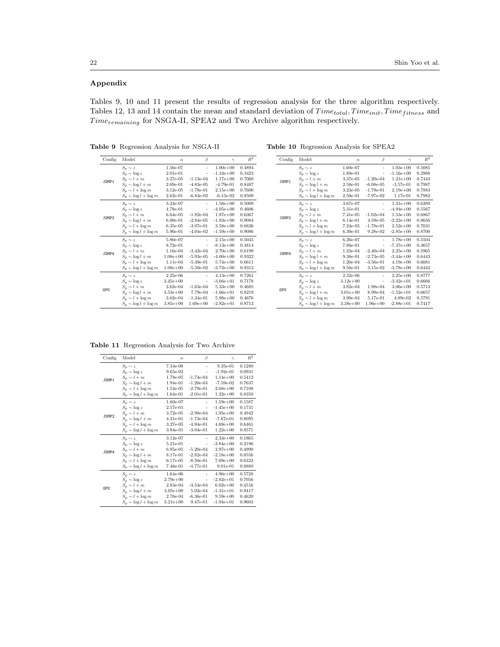# Appendix

Tables 9, 10 and 11 present the results of regression analysis for the three algorithm respectively. Tables 12, 13 and 14 contain the mean and standard deviation of  $Time_{total}, Time_{init}, Time_{fitness}$  and  $Time_{remaining}$  for NSGA-II, SPEA2 and Two Archive algorithm respectively.

| Config       | Model                      | $\alpha$     | B            | $\gamma$      | $R^2$  |
|--------------|----------------------------|--------------|--------------|---------------|--------|
|              | $S_p \sim z$               | 1.56e-07     |              | $1.00e + 00$  | 0.4894 |
|              | $S_p \sim \log z$          | 2.01e-01     |              | $-1.34e+00$   | 0.3423 |
| JOMP1        | $S_p \sim l+m$             | 3.27e-05     | $-1.13e-04$  | $1.17e + 00$  | 0.7060 |
|              | $S_p \sim \log l + m$      | $2.69e-01$   | $-4.83e-05$  | $-4.79e-01$   | 0.8487 |
|              | $S_p \sim l + \log m$      | $3.12e-0.5$  | $-1.78e-01$  | $2.15e + 00$  | 0.7600 |
|              | $S_p \sim \log l + \log m$ | $2.62e-01$   | $-6.83e-02$  | $-6.15e-02$   | 0.8509 |
|              | $S_p \sim z$               | 3.24e-07     |              | $1.58e + 00$  | 0.5009 |
|              | $S_p \sim \log z$          | 4.78e-01     | $\sim$       | $-4.05e+00$   | 0.4606 |
| JOMP2        | $S_p \sim l+m$             | 6.64e-05     | $-1.82e-04$  | $1.87e + 00$  | 0.6367 |
|              | $S_n \sim \log l + m$      | $6.00e-01$   | $-2.84e-05$  | $-1.83e+00$   | 0.9084 |
|              | $S_p \sim l + \log m$      | $6.35e-05$   | $-3.07e-01$  | $3.58e + 00$  | 0.6836 |
|              | $S_p \sim \log l + \log m$ | 5.96e-01     | $-4.04e-02$  | $-1.59e + 00$ | 0.9086 |
|              | $S_p \sim z$               | 5.80e-07     |              | $2.15e+00$    | 0.5045 |
|              | $S_p \sim \log z$          | 8.72e-01     | $\sim$       | $-8.13e+00$   | 0.4814 |
| <b>JOMP4</b> | $S_p \sim l+m$             | 1.16e-04     | $-3.42e-04$  | $2.70e + 00$  | 0.6199 |
|              | $S_p \sim \log l + m$      | $1.08e + 00$ | $-5.93e-05$  | $-4.00e + 00$ | 0.9322 |
|              | $S_p \sim l + \log m$      | 1.11e-04     | $-5.49e-01$  | $5.74e + 00$  | 0.6611 |
|              | $S_p \sim \log l + \log m$ | $1.08e + 00$ | $-5.50e-02$  | $-3.72e+00$   | 0.9313 |
|              | $S_p \sim z$               | 2.25e-06     |              | $4.13e+00$    | 0.7261 |
|              | $S_p \sim \log z$          | $3.45e + 00$ |              | $-3.66e + 01$ | 0.7178 |
|              | $S_p \sim l+m$             | 3.62e-04     | $-1.63e-04$  | $5.33e + 00$  | 0.4685 |
| GPU          | $S_p \sim \log l + m$      | $3.53e + 00$ | 7.79e-04     | $-1.66e + 01$ | 0.8219 |
|              | $S_p \sim l + \log m$      | $3.62e-04$   | $-1.34e-01$  | $5.98e + 00$  | 0.4676 |
|              | $S_p \sim \log l + \log m$ | $3.85e+00$   | $1.69e + 00$ | $-2.82e + 01$ | 0.8713 |

Table 9 Regression Analysis for NSGA-II

| <b>Table 10</b> Regression Analysis for SPEA2 |
|-----------------------------------------------|
|-----------------------------------------------|

| Config            | Model                      | $\alpha$     | β            | $\gamma$      | $R^2$  |
|-------------------|----------------------------|--------------|--------------|---------------|--------|
|                   | $S_p \sim z$               | 1.60e-07     | ٠            | $1.03e + 00$  | 0.5085 |
|                   | $S_p \sim \log z$          | 1.89e-01     |              | $-1.16e + 00$ | 0.2988 |
| <b>JOMP1</b>      | $S_p \sim l+m$             | 3.37e-05     | $-1.20e-04$  | $1.21e + 00$  | 0.7443 |
|                   | $S_p \sim \log l + m$      | $2.58e-01$   | $-6.08e-05$  | $-3.57e-01$   | 0.7987 |
|                   | $S_p \sim l + \log m$      | 3.23e-05     | $-1.79e-01$  | $2.19e + 00$  | 0.7883 |
|                   | $S_p \sim \log l + \log m$ | $2.50e-01$   | $-7.97e-02$  | 1.17e-01      | 0.7982 |
|                   | $S_p \sim z$               | 3.67e-07     |              | $1.31e+00$    | 0.6289 |
|                   | $S_p \sim \log z$          | 5.31e-01     |              | $-4.94e+00$   | 0.5567 |
| JOMP <sub>2</sub> | $S_p \sim l+m$             | 7.41e-05     | $-1.02e-04$  | $1.53e + 00$  | 0.6867 |
|                   | $S_p \sim \log l + m$      | $6.14e-01$   | $4.59e-05$   | $-2.22e+0.0$  | 0.8656 |
|                   | $S_p \sim l + \log m$      | 7.24e-05     | $-1.78e-01$  | $2.52e+00$    | 0.7031 |
|                   | $S_p \sim \log l + \log m$ | $6.30e-01$   | 9.28e-02     | $-2.85e+00$   | 0.8700 |
|                   | $S_p \sim z$               | 6.26e-07     |              | $1.78e + 00$  | 0.5504 |
|                   | $S_p \sim \log z$          | 7.86e-01     |              | $-7.37e+00$   | 0.3657 |
| JOMP4             | $S_p \sim l+m$             | $1.23e-04$   | $-2.40e-04$  | $2.25e+00$    | 0.5965 |
|                   | $S_p \sim \log l + m$      | 9.38e-01     | $-2.73e-05$  | $-3.44e+00$   | 0.6443 |
|                   | $S_p \sim l + \log m$      | $1.20e-04$   | $-3.56e-01$  | $4.19e + 00$  | 0.6081 |
|                   | $S_p \sim \log l + \log m$ | $9.56e-01$   | 3.15e-02     | $-3.78e + 00$ | 0.6442 |
|                   | $S_p \sim z$               | $2.32e-06$   |              | $2.25e+00$    | 0.8777 |
|                   | $S_p \sim \log z$          | $3.12e + 00$ |              | $-3.42e+01$   | 0.6666 |
| GPU               | $S_p \sim l+m$             | 3.82e-04     | 1.98e-04     | $3.06e + 00$  | 0.5713 |
|                   | $S_p \sim \log l + m$      | $3.01e + 00$ | 8.99e-04     | $-1.52e + 01$ | 0.6657 |
|                   | $S_p \sim l + \log m$      | 3.90e-04     | 5.17e-01     | 4.89e-02      | 0.5791 |
|                   | $S_p \sim \log l + \log m$ | $3.38e + 00$ | $1.96e + 00$ | $-2.88e + 01$ | 0.7417 |

Table 11 Regression Analysis for Two Archive

| Config       | Model                      | $\alpha$     | Β           | $\gamma$      | $R^2$  |
|--------------|----------------------------|--------------|-------------|---------------|--------|
|              | $S_p \sim z$               | 7.34e-08     | ÷,          | 9.35e-01      | 0.1280 |
|              | $S_p \sim \log z$          | 9.65e-02     |             | $-1.92e-01$   | 0.0931 |
|              |                            | 1.78e-05     | $-1.74e-04$ | $1.14e + 00$  | 0.5412 |
| <b>JOMP1</b> | $S_p \sim l+m$             |              | $-1.20e-04$ | $-7.59e-02$   | 0.7637 |
|              | $S_p \sim \log l + m$      | $1.94e-01$   |             |               |        |
|              | $S_p \sim l + \log m$      | $1.54e-05$   | $-2.79e-01$ | $2.68e + 00$  | 0.7108 |
|              | $S_p \sim \log l + \log m$ | 1.64e-01     | $-2.01e-01$ | $1.22e + 00$  | 0.8350 |
|              | $S_p \sim z$               | 1.60e-07     | ä,          | $1.59e + 00$  | 0.1587 |
|              | $S_p \sim \log z$          | 2.57e-01     |             | $-1.45e+00$   | 0.1731 |
| <b>JOMP2</b> | $S_p \sim l+m$             | 3.72e-05     | $-2.98e-04$ | $1.95e + 00$  | 0.4942 |
|              | $S_p \sim \log l + m$      | $4.31e-01$   | $-1.73e-04$ | $-7.67e-01$   | 0.8095 |
|              | $S_p \sim l + \log m$      | 3.27e-05     | $-4.94e-01$ | $4.69e + 00$  | 0.6461 |
|              | $S_p \sim \log l + \log m$ | 3.84e-01     | $-3.04e-01$ | $1.22e + 00$  | 0.8571 |
|              | $S_p \sim z$               | 3.12e-07     |             | $2.33e+0.0$   | 0.1865 |
|              | $S_p \sim \log z$          | 5.21e-01     | ٠           | $-3.84e+00$   | 0.2196 |
| <b>JOMP4</b> | $S_p \sim l+m$             | 6.95e-05     | $-5.20e-04$ | $2.97e+00$    | 0.4990 |
|              | $S_p \sim \log l + m$      | 8.17e-01     | $-2.82e-04$ | $-2.18e + 00$ | 0.8556 |
|              | $S_p \sim l + \log m$      | 6.17e-05     | $-8.50e-01$ | $7.69e + 00$  | 0.6322 |
|              | $S_p \sim \log l + \log m$ | 7.46e-01     | $-4.77e-01$ | $9.01e-01$    | 0.8880 |
|              | $S_p \sim z$               | 1.64e-06     |             | $4.96e + 00$  | 0.5728 |
|              | $S_p \sim \log z$          | $2.79e+00$   |             | $-2.82e+01$   | 0.7056 |
|              | $S_p \sim l+m$             | 2.83e-04     | $-3.54e-04$ | $6.02e + 00$  | 0.4516 |
| GPU          | $S_p \sim \log l + m$      | $3.05e + 00$ | $5.02e-04$  | $-1.31e + 01$ | 0.9417 |
|              | $S_p \sim l + \log m$      | 2.76e-04     | $-6.36e-01$ | $9.59e + 00$  | 0.4620 |
|              | $S_p \sim \log l + \log m$ | $3.21e + 00$ | 9.47e-01    | $-1.94e + 01$ | 0.9603 |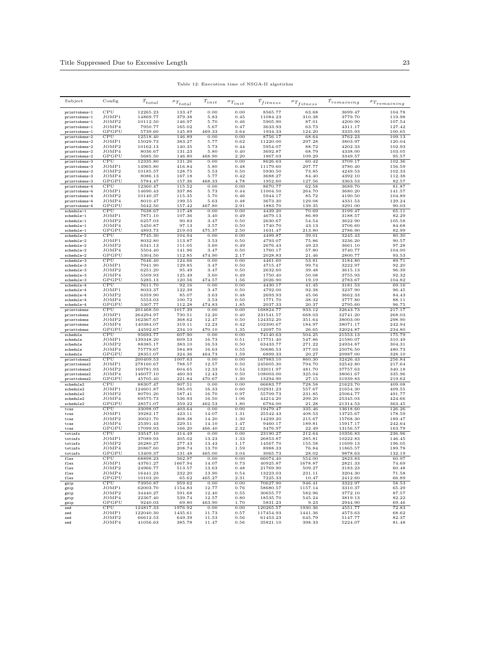| Subject                        | Config         | $\tau_{total}$         | $\sigma_{Total}$  | $T_{init}$     | ${}^{\sigma}T_{init}$ | $T_{fitness}$          | $\scriptstyle{{\sigma_{T_{fitness}}}}$ | $T_{remaining}$      | $\sigma_{Tremaining}$ |
|--------------------------------|----------------|------------------------|-------------------|----------------|-----------------------|------------------------|----------------------------------------|----------------------|-----------------------|
| printtokens-1                  | CPU            | 12265.23               | 133.47            | 0.00           | 0.00                  | 8565.77                | 63.68                                  | 3699.47              | 104.78                |
| printtokens-1                  | JOMP1          | 14869.77               | 379.38            | 5.83           | 0.45                  | 11084.23               | 310.38                                 | 3779.70              | 119.98                |
| printtokens-1                  | JOMP2          | 10112.50               | 146.97            | 5.70           | 0.46                  | 5905.90                | 87.01                                  | 4200.90              | 107.54                |
| printtokens-1                  | JOMP4          | 7950.77                | 165.02            | 5.67           | 0.47                  | 3633.93                | 63.73                                  | 4311.17              | 127.42                |
| printtokens-1                  | GPGPU          | 5739.60                | 145.89            | 469.33         | 3.64                  | 1934.33                | 124.20                                 | 3335.93              | 100.65                |
| printtokens-2                  | CPU            | 12518.40               | 146.89            | 0.00           | 0.00                  | 8756.17                | 68.64                                  | 3762.23              | 109.13                |
| printtokens-2                  | JOMP1          | 15029.73               | 383.27            | 5.77           | 0.62                  | 11220.00               | 297.28                                 | 3803.97              | 120.04                |
| printtokens-2                  | JOMP2          | 10162.13               | 140.35            | 5.73           | 0.44                  | 5954.07                | 88.72                                  | 4202.33              | 102.93                |
| printtokens-2                  | JOMP4          | 8036.67                | 131.23            | 5.80           | 0.40                  | 3692.87                | 68.79                                  | 4338.00              | 103.05                |
| printtokens-2                  | GPGPU          | 5685.50                | 146.80            | 468.90         | 2.20                  | 1867.03                | 109.29                                 | 3349.57              | 95.57                 |
| printtokens-3                  | CPU            | 12335.80               | 131.26            | 0.00           | 0.00                  | 8626.63                | 60.42                                  | 3709.17              | 102.36                |
| printtokens-3                  | JOMP1          | 14965.80               | 416.84            | 5.80           | 0.48                  | 11179.60               | 297.77                                 | 3780.40              | 156.59                |
| printtokens-3                  | JOMP2          | 10185.57               | 128.75            | 5.53           | 0.50                  | 5930.50                | 73.85                                  | 4249.53              | 102.33                |
| printtokens-3<br>printtokens-3 | JOMP4<br>GPGPU | 8086.13<br>5784.47     | 167.18<br>157.36  | 5.77<br>468.33 | 0.42<br>4.78          | 3688.27<br>1952.60     | 84.40<br>127.56                        | 4392.10<br>3363.53   | 112.38<br>82.57       |
|                                | CPU            | 12360.47               | 115.52            | 0.00           |                       | 8670.77                |                                        | 3689.70              | 81.87                 |
| printtokens-4<br>printtokens-4 | JOMP1          | 14690.43               | 337.86            | 5.73           | 0.00<br>0.44          | 11004.50               | 62.58<br>264.70                        | 3680.20              | 141.57                |
| printtokens-4                  | JOMP2          | 10140.37               | 115.35            | 5.70           | 0.46                  | 5944.17                | 85.72                                  | 4190.50              | 104.89                |
| printtokens-4                  | JOMP4          | 8010.47                | 199.55            | 5.63           | 0.48                  | 3673.30                | 129.08                                 | 4331.53              | 129.24                |
| printtokens-4                  | GPGPU          | 5642.50                | 157.42            | 467.80         | 2.91                  | 1883.70                | 139.35                                 | 3291.00              | 90.03                 |
| schedule-1                     | CPU            | 7638.67                | 117.48            | 0.00           | 0.00                  | 4439.20                | 70.69                                  | 3199.47              | 65.11                 |
| schedule-1                     | JOMP1          | 7871.10                | 107.36            | 3.40           | 0.49                  | 4679.13                | 86.89                                  | 3188.57              | 82.29                 |
| schedule-1                     | JOMP2          | 6257.03                | 90.83             | 3.47           | 0.50                  | 2630.67                | 54.54                                  | 3622.90              | 105.58                |
| schedule-1                     | JOMP4          | 5450.87                | 97.13             | 3.57           | 0.50                  | 1740.70                | 43.13                                  | 3706.60              | 84.68                 |
| schedule-1                     | GPGPU          | 4893.73                | 219.03            | 475.37         | 2.50                  | 1631.47                | 213.80                                 | 2786.90              | 82.99                 |
| schedule-2                     | CPU            | 7745.30                | 104.94            | 0.00           | 0.00                  | 4499.87                | 39.01                                  | 3245.43              | 80.30                 |
| schedule-2                     | JOMP1          | 8032.80                | 113.87            | 3.53           | 0.50                  | 4793.07                | 75.86                                  | 3236.20              | 90.57                 |
| schedule-2                     | JOMP2          | 6341.13                | 111.05            | 3.60           | 0.49                  | 2676.43                | 49.23                                  | 3661.10              | 97.28                 |
| schedule-2                     | JOMP4          | 5504.40                | 141.96            | 3.47           | 0.50                  | 1760.17                | 57.80                                  | 3740.77              | 104.00                |
| schedule-2                     | GPGPU          | 5304.50                | 112.85            | 474.90         | 2.17                  | 2028.83                | 21.46                                  | 2800.77              | 93.53                 |
| schedule-3                     | CPU            | 7646.40                | 124.66            | 0.00           | 0.00                  | 4461.60                | 53.81                                  | 3184.80              | 89.71                 |
| schedule-3                     | JOMP1          | 7941.90                | 129.85            | 3.47           | 0.50                  | 4715.47                | 99.74                                  | 3222.97              | 92.20                 |
| schedule-3                     | JOMP2<br>JOMP4 | 6251.20<br>5509.93     | 95.49<br>125.49   | 3.47<br>3.60   | 0.50                  | 2632.60<br>1750.40     | 39.48<br>50.08                         | 3615.13<br>3755.93   | 96.39<br>92.32        |
| schedule-3<br>schedule-3       | GPGPU          | 5285.13                | 120.56            | 474.57         | 0.49<br>1.56          | 2026.90                | 19.19                                  | 2783.67              | 104.82                |
| schedule-4                     | CPU            | 7611.70                | 92.16             | 0.00           | 0.00                  | 4430.17                | 41.45                                  | 3181.53              | 69.16                 |
| schedule-4                     | JOMP1          | 8033.37                | 122.39            | 3.47           | 0.50                  | 4792.00                | 92.38                                  | 3237.90              | 96.45                 |
| schedule-4                     | JOMP2          | 6359.90                | 85.07             | 3.63           | 0.48                  | 2693.93                | 45.06                                  | 3662.33              | 84.43                 |
| schedule-4                     | JOMP4          | 5553.03                | 100.72            | 3.53           | 0.50                  | 1771.70                | 38.32                                  | 3777.80              | 88.11                 |
| schedule-4                     | GPGPU          | 5307.77                | 112.28            | 474.83         | 1.85                  | 2037.33                | 20.37                                  | 2795.60              | 96.75                 |
| printtokens                    | CPU            | 201468.50              | 1017.39           | 0.00           | 0.00                  | 168824.77              | 933.12                                 | 32643.73             | 217.17                |
| printtokens                    | JOMP1          | 264294.97              | 730.51            | 12.20          | 0.40                  | 231541.57              | 668.03                                 | 32741.20             | 268.03                |
| printtokens                    | JOMP2          | 162367.67              | 368.62            | 12.47          | 0.50                  | 124352.20              | 351.64                                 | 38003.00             | 298.90                |
| printtokens                    | JOMP4          | 140384.07              | 319.11            | 12.23          | 0.42                  | 102300.67              | 184.97                                 | 38071.17             | 242.94                |
| printtokens                    | GPGPU          | 44592.67               | 234.10            | 470.10         | 1.35                  | 12097.70               | 26.65                                  | 32024.87             | 234.80                |
| schedule                       | CPU            | 95693.77               | 607.90            | 0.00           | 0.00                  | 74140.63               | 504.25                                 | 21553.13             | 175.79                |
| schedule                       | JOMP1          | 139348.20              | 609.53            | 16.73          | 0.51                  | 117751.40              | 547.86                                 | 21580.07             | 310.49                |
| schedule                       | JOMP2          | 88385.17               | 383.10            | 16.53          | 0.50                  | 63433.77               | 271.22                                 | 24934.87             | 304.31                |
| schedule                       | JOMP4          | 75779.67               | 584.89            | 16.63          | 0.55                  | 50686.53               | 377.03                                 | 25076.50             | 480.73                |
| schedule                       | GPGPU          | 28351.07               | 324.36            | 464.73         | 1.59                  | 6899.33                | 20.27                                  | 20987.00             | 328.10                |
| printtokens2                   | CPU<br>JOMP1   | 200409.53<br>278160.67 | 1007.63<br>788.57 | 0.00           | 0.00                  | 167983.10<br>245605.30 | 860.30                                 | 32426.43             | 256.84<br>217.64      |
| printtokens2<br>printtokens2   | JOMP2          | 169781.93              | 604.65            | 12.57<br>12.33 | 0.50<br>0.54          | 132011.97              | 794.70<br>481.70                       | 32542.80<br>37757.63 | 340.18                |
| printtokens2                   | JOMP4          | 146077.10              | 460.93            | 12.43          | 0.50                  | 108003.00              | 325.04                                 | 38061.67             | 335.96                |
| printtokens2                   | GPGPU          | 45705.40               | 221.84            | 470.67         | 1.30                  | 13294.90               | 27.15                                  | 31939.83             | 219.62                |
| schedule2                      | CPU            | 88307.47               | 907.51            | 0.00           | 0.00                  | 66683.77               | 728.58                                 | 21623.70             | 409.08                |
| schedule2                      | JOMP1          | 124601.87              | 585.05            | 16.33          | 0.60                  | 102931.23              | 557.67                                 | 21654.30             | 409.55                |
| schedule2                      | JOMP2          | 80791.20               | 587.41            | 16.70          | 0.97                  | 55709.73               | 231.85                                 | 25064.77             | 491.77                |
| schedule2                      | JOMP4          | 69575.73               | 536.93            | 16.50          | 1.06                  | 44214.20               | 299.20                                 | 25345.03             | 424.66                |
| schedule2                      | GPGPU          | 28571.07               | 359.22            | 462.53         | 1.80                  | 6794.00                | 21.28                                  | 21314.53             | 363.45                |
| tcas                           | CPU            | 33098.07               | 403.64            | 0.00           | 0.00                  | 19479.47               | 335.46                                 | 13618.60             | 126.26                |
| tcas                           | JOMP1          | 39282.17               | 423.11            | 14.07          | 1.31                  | 25542.43               | 408.53                                 | 13725.67             | 178.59                |
| tcas                           | JOMP2          | 30021.70               | 308.38            | 14.20          | 1.30                  | 14239.20               | 215.67                                 | 15768.30             | 189.47                |
| tcas                           | JOMP4          | 25391.43               | 229.51            | 14.10          | 1.47                  | 9460.17                | 189.81                                 | 15917.17             | 242.64                |
| tcas                           | GPGPU          | 17099.93               | 166.20            | 466.40         | 2.32                  | 3476.97                | 22.49                                  | 13156.57             | 163.79                |
| totinfo                        | CPU            | 33547.10               | 414.49            | 0.00           | 0.00                  | 23190.27               | 212.64                                 | 10356.83             | 236.96                |
| totinfo                        | JOMP1          | 37089.93               | 305.02            | 13.23          | 1.33                  | 26853.87               | 285.81                                 | 10222.83             | 146.45                |
| totinfo<br>totinfo             | JOMP2<br>JOMP4 | 26280.27<br>20867.60   | 277.43<br>208.74  | 13.43<br>13.70 | 1.17<br>1.59          | 14567.70<br>8988.33    | 155.58<br>76.84                        | 11699.13<br>11865.57 | 196.05<br>189.78      |
| totinfo                        | GPGPU          | 13409.37               | 131.48            | 465.00         | 3.04                  | 3065.73                | 28.02                                  | 9878.63              | 132.19                |
| flex                           | CPU            | 68898.23               | 562.97            | 0.00           | 0.00                  | 66074.40               | 554.00                                 | 2823.83              | 60.97                 |
| flex                           | JOMP1          | 43761.27               | 1667.94           | 14.07          | 0.73                  | 40925.87               | 1678.87                                | 2821.33              | 74.69                 |
| flex                           | JOMP2          | 24966.77               | 513.57            | 13.63          | 0.48                  | 21769.90               | 509.27                                 | 3183.23              | 60.48                 |
| flex                           | JOMP4          | 16441.23               | 232.20            | 13.90          | 0.54                  | 13223.03               | 231.11                                 | 3204.30              | 71.58                 |
| flex                           | GPGPU          | 10103.20               | 65.62             | 465.27         | 2.31                  | 7225.33                | 10.47                                  | 2412.60              | 66.89                 |
| gzip                           | CPU            | 73950.87               | 959.62            | 0.00           | 0.00                  | 70627.90               | 946.41                                 | 3322.97              | 58.53                 |
| gzip                           | JOMP1          | 62003.70               | 1154.83           | 12.77          | 0.76                  | 58680.57               | 1157.14                                | 3310.37              | 65.29                 |
| gzip                           | JOMP2          | 34440.27               | 591.68            | 12.40          | 0.55                  | 30655.77               | 582.96                                 | 3772.10              | 87.57                 |
| gzip                           | JOMP4          | 22367.40               | 539.74            | 12.57          | 0.80                  | 18535.70               | 545.24                                 | 3819.13              | 82.22                 |
| gzip                           | GPGPU          | 9240.03                | 69.80             | 463.90         | 1.70                  | 5831.23                | 9.23                                   | 2944.90              | 69.46                 |
| sed                            | $_{\rm CPU}$   | 124817.33              | 1976.92           | 0.00           | 0.00                  | 120265.57              | 1930.36                                | 4551.77              | 72.83                 |
| sed                            | JOMP1          | 122040.30              | 1435.61           | 11.73          | 0.57                  | 117454.93              | 1441.36                                | 4573.63              | 68.62                 |
| sed                            | JOMP2          | 66612.53               | 649.39            | 11.53          | 0.56                  | 61453.23               | 645.79                                 | 5147.77              | 82.37                 |
| sed                            | JOMP4          | 41056.63               | 385.78            | 11.47          | 0.56                  | 35821.10               | 398.33                                 | 5224.07              | 81.48                 |

Table 12: Execution time of NSGA-II algotirhm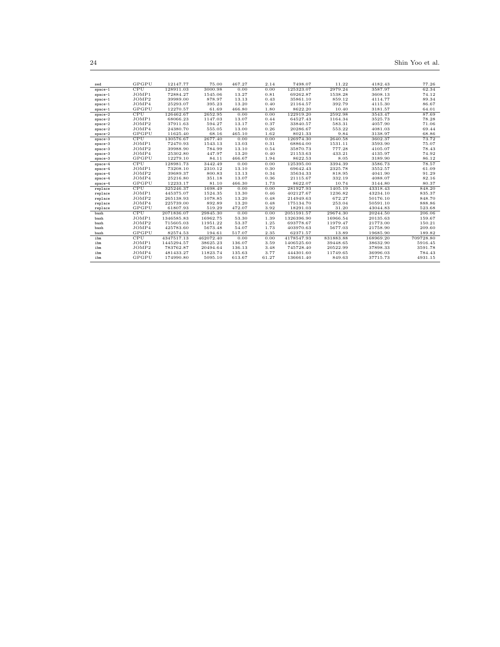| sed       | GPGPU | 12147.77   | 75.00     | 467.27 | 2.14  | 7498.07    | 11.22     | 4182.43   | 77.26     |
|-----------|-------|------------|-----------|--------|-------|------------|-----------|-----------|-----------|
| $space-1$ | CPU   | 128911.03  | 3000.98   | 0.00   | 0.00  | 125323.07  | 2979.24   | 3587.97   | 62.34     |
| $space-1$ | JOMP1 | 72884.27   | 1545.06   | 13.27  | 0.81  | 69262.87   | 1538.28   | 3608.13   | 74.12     |
| $space-1$ | JOMP2 | 39989.00   | 878.97    | 13.13  | 0.43  | 35861.10   | 859.12    | 4114.77   | 89.34     |
| $space-1$ | JOMP4 | 25293.07   | 395.23    | 13.20  | 0.40  | 21164.57   | 392.79    | 4115.30   | 86.67     |
| $space-1$ | GPGPU | 12270.57   | 61.69     | 466.80 | 1.80  | 8622.20    | 10.40     | 3181.57   | 64.01     |
| $space-2$ | CPU   | 126462.67  | 2652.95   | 0.00   | 0.00  | 122919.20  | 2592.98   | 3543.47   | 87.69     |
| $space-2$ | JOMP1 | 68066.23   | 1147.03   | 13.07  | 0.44  | 64527.43   | 1164.34   | 3525.73   | 78.28     |
| $space-2$ | JOMP2 | 37911.63   | 594.27    | 13.17  | 0.37  | 33840.57   | 583.31    | 4057.90   | 71.06     |
| $space-2$ | JOMP4 | 24380.70   | 555.05    | 13.00  | 0.26  | 20286.67   | 553.22    | 4081.03   | 69.44     |
| $space-2$ | GPGPU | 11625.40   | 68.16     | 465.10 | 1.62  | 8021.33    | 9.84      | 3138.97   | 68.86     |
| $space-3$ | CPU   | 130576.67  | 2677.40   | 0.00   | 0.00  | 126974.30  | 2640.58   | 3602.37   | 73.72     |
| space-3   | JOMP1 | 72470.93   | 1543.13   | 13.03  | 0.31  | 68864.00   | 1531.11   | 3593.90   | 75.07     |
| space-3   | JOMP2 | 39988.90   | 784.99    | 13.10  | 0.54  | 35870.73   | 777.28    | 4105.07   | 78.43     |
| $space-3$ | JOMP4 | 25302.80   | 447.97    | 13.20  | 0.40  | 21153.63   | 433.21    | 4135.97   | 74.92     |
| space-3   | GPGPU | 12279.10   | 84.11     | 466.67 | 1.94  | 8622.53    | 8.05      | 3189.90   | 86.12     |
| $space-4$ | CPU   | 128981.73  | 3442.49   | 0.00   | 0.00  | 125395.00  | 3394.39   | 3586.73   | 78.57     |
| $space-4$ | JOMP1 | 73208.10   | 2310.12   | 13.10  | 0.30  | 69642.43   | 2325.78   | 3552.57   | 61.09     |
| $space-4$ | JOMP2 | 39689.37   | 800.83    | 13.13  | 0.34  | 35634.33   | 818.95    | 4041.90   | 91.29     |
| $space-4$ | JOMP4 | 25216.80   | 351.18    | 13.07  | 0.36  | 21115.67   | 332.19    | 4088.07   | 82.16     |
| $space-4$ | GPGPU | 12233.17   | 81.10     | 466.30 | 1.73  | 8622.07    | 10.74     | 3144.80   | 80.37     |
| replace   | CPU   | 325246.37  | 1698.49   | 0.00   | 0.00  | 281927.93  | 1405.19   | 43318.43  | 848.20    |
| replace   | JOMP1 | 445375.07  | 1524.35   | 13.30  | 0.46  | 402127.67  | 1236.82   | 43234.10  | 835.37    |
| replace   | JOMP2 | 265138.93  | 1078.85   | 13.20  | 0.48  | 214949.63  | 672.27    | 50176.10  | 848.70    |
| replace   | JOMP4 | 225739.00  | 892.89    | 13.20  | 0.48  | 175134.70  | 253.04    | 50591.10  | 888.86    |
| replace   | GPGPU | 61807.93   | 519.29    | 472.07 | 3.92  | 18291.03   | 31.20     | 43044.83  | 523.68    |
| bash      | CPU   | 2071836.07 | 29845.30  | 0.00   | 0.00  | 2051591.57 | 29674.30  | 20244.50  | 206.06    |
| bash      | JOMP1 | 1346585.83 | 16962.75  | 53.30  | 1.39  | 1326396.90 | 16966.54  | 20135.63  | 159.67    |
| bash      | JOMP2 | 715605.03  | 11951.22  | 53.37  | 1.25  | 693778.67  | 11979.47  | 21773.00  | 150.21    |
| bash      | JOMP4 | 425783.60  | 5673.48   | 54.07  | 1.73  | 403970.63  | 5677.03   | 21758.90  | 209.60    |
| bash      | GPGPU | 82574.53   | 194.61    | 517.07 | 2.35  | 62371.57   | 13.89     | 19685.90  | 189.82    |
| ibm       | CPU   | 4347517.13 | 462072.40 | 0.00   | 0.00  | 4178547.93 | 831883.88 | 168969.20 | 709728.80 |
| ibm       | JOMP1 | 1445294.57 | 38625.23  | 136.07 | 3.59  | 1406525.60 | 39448.65  | 38632.90  | 5916.45   |
| ibm       | JOMP2 | 783762.87  | 20494.64  | 136.13 | 3.48  | 745728.40  | 20522.99  | 37898.33  | 3591.78   |
| ibm       | JOMP4 | 481433.27  | 11823.74  | 135.63 | 3.77  | 444301.60  | 11749.65  | 36996.03  | 784.43    |
| ibm       | GPGPU | 174990.80  | 5095.10   | 613.67 | 61.27 | 136661.40  | 849.63    | 37715.73  | 4931.15   |
|           |       |            |           |        |       |            |           |           |           |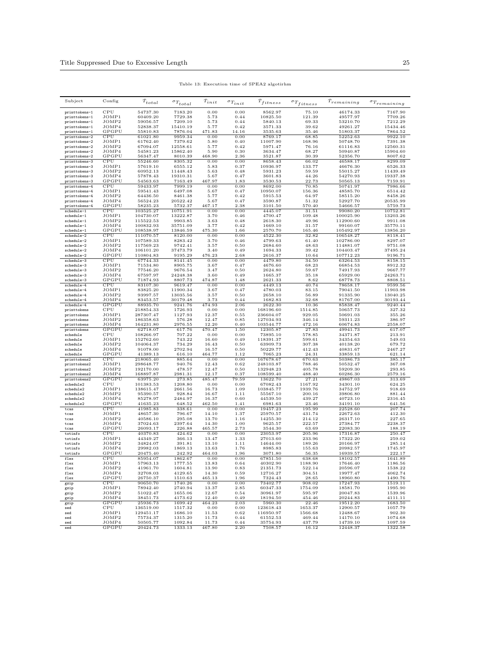| Subject            | Config         | $\bar{T}_{total}$    | ${}^{\sigma T}{}_{total}$ | $\bar{T}_{init}$ | ${}^{\sigma}T_{init}$ | $\bar{T}_{fitness}$  | ${}^{\sigma}T_{fitness}$ | $T_{remaining}$      | ${}^{\sigma}T_{remaining}$ |
|--------------------|----------------|----------------------|---------------------------|------------------|-----------------------|----------------------|--------------------------|----------------------|----------------------------|
| printtokens-1      | CPU            | 54737.30             | 7183.20                   | 0.00             | 0.00                  | 8562.97              | 75.10                    | 46174.33             | 7167.90                    |
| printtokens-1      | JOMP1          | 60409.20             | 7729.38                   | 5.73             | 0.44                  | 10825.50             | 121.39                   | 49577.97             | 7709.26                    |
| printtokens-1      | JOMP2          | 59056.57             | 7209.10                   | 5.73             | 0.44                  | 5840.13              | 69.33                    | 53210.70             | 7212.29                    |
| printtokens-1      | JOMP4          | 52838.37             | 15410.19                  | 5.77             | 0.42                  | 3571.33              | 39.62                    | 49261.27             | 15434.46                   |
| printtokens-1      | GPGPU          | 55810.83             | 7876.04                   | 471.83           | 14.16                 | 3535.63              | 35.46                    | 51803.37             | 7864.52                    |
| printtokens-2      | CPU            | 61021.80             | 9959.34                   | 0.00             | 0.00                  | 8769.17              | 68.85                    | 52252.63             | 9922.10                    |
| printtokens-2      | JOMP1          | 61762.40             | 7379.62                   | 5.80             | 0.40                  | 11007.90             | 168.96                   | 50748.70             | 7391.38                    |
| printtokens-2      | JOMP2          | 67094.07             | 12558.61                  | 5.77             | 0.42                  | 5971.47              | 76.16                    | 61116.83             | 12560.31                   |
| printtokens-2      | JOMP4          | 54581.23             | 15862.40                  | 5.90             | 0.30                  | 3634.47              | 68.27                    | 50940.87             | 15904.60                   |
| printtokens-2      | GPGPU          | 56347.47             | 8010.39                   | 468.90           | 2.36                  | 3521.87              | 30.39                    | 52356.70             | 8007.62                    |
| printtokens-3      | CPU            | 55246.60             | 8305.32                   | 0.00             | 0.00                  | 8658.43              | 66.02                    | 46588.17             | 8299.09                    |
| printtokens-3      | JOMP1          | 57619.10             | 6555.12                   | 5.83             | 0.37                  | 10936.97             | 133.77                   | 46676.30             | 6526.33                    |
| printtokens-3      | JOMP2          | 60952.13             | 11448.43                  | 5.63             | 0.48                  | 5931.23              | 59.59                    | 55015.27             | 11439.49                   |
| printtokens-3      | JOMP4          | 57878.43             | 19310.31                  | 5.67             | 0.47                  | 3601.83              | 44.26                    | 54270.93             | 19337.38                   |
| printtokens-3      | GPGPU          | 54563.63             | 7163.49                   | 467.97           | 1.83                  | 3530.53              | 22.73                    | 50565.13             | 7159.91                    |
| printtokens-4      | CPU            | 59433.97             | 7999.19                   | 0.00             | 0.00                  | 8692.00              | 70.85                    | 50741.97             | 7986.66                    |
| printtokens-4      | JOMP1          | 59541.43             | 6497.08                   | 5.67             | 0.47                  | 10950.07             | 156.36                   | 48585.70             | 6514.42                    |
| printtokens-4      | JOMP2          | 64436.50             | 8461.38                   | 5.77             | 0.42                  | 5915.53              | 64.97                    | 58515.20             | 8458.26                    |
| printtokens-4      | JOMP4          | 56524.23             | 20522.42                  | 5.67             | 0.47                  | 3590.87              | 51.32                    | 52927.70             | 20535.99                   |
| printtokens-4      | GPGPU          | 58235.23             | 5732.37                   | 467.17           | 2.38                  | 3101.50              | 570.40                   | 54666.57             | 5759.73                    |
| schedule-1         | CPU            | 103525.27            | 10751.91                  | 0.00             | 0.00                  | 4445.07              | 31.51                    | 99080.20             | 10752.81                   |
| schedule-1         | JOMP1          | 104730.07            | 13222.87                  | 3.70             | 0.46                  | 4700.47              | 109.48                   | 100025.90            | 13203.26                   |
| schedule-1         | JOMP2          | 115522.53            | 9903.85                   | 3.63             | 0.48                  | 2618.30              | 49.96                    | 112900.60            | 9911.08                    |
| schedule-1         | JOMP4          | 100832.93            | 35751.09                  | 3.77             | 0.42                  | 1669.10              | 31.57                    | 99160.07             | 35770.11                   |
| schedule-1         | GPGPU          | 108538.97            | 13846.59                  | 475.30           | 1.66                  | 2570.70              | 165.46                   | 105492.97            | 13856.20                   |
| schedule-2         | CPU            | 111070.57            | 8120.00                   | 0.00             | 0.00                  | 4522.30              | 32.82                    | 106548.27            | 8118.41                    |
| schedule-2         | JOMP1          | 107589.33            | 8283.42                   | 3.70             | 0.46                  | 4799.63              | 61.40                    | 102786.00            | 8297.07                    |
| schedule-2         | JOMP2          | 117569.23            | 9742.41                   | 3.57             | 0.50                  | 2684.60              | 48.63                    | 114881.07            | 9751.08                    |
| schedule-2         | JOMP4          | 106101.20            | 37473.79                  | 3.40             | 0.49                  | 1694.33              | 39.42                    | 104403.47            | 37495.24                   |
| schedule-2         | GPGPU          | 110804.83            | 9195.29                   | 476.23           | 2.68                  | 2616.37              | 10.64                    | 107712.23            | 9196.71                    |
| schedule-3         | CPU            | 67744.33             | 8141.45                   | 0.00             | 0.00                  | 4479.80              | 34.50                    | 63264.53             | 8158.15                    |
| schedule-3         | JOMP1          | 71534.80             | 8905.75                   | 3.67             | 0.47                  | 4676.60              | 68.23                    | 66854.53             | 8912.32                    |
| schedule-3         | JOMP2          | 77546.20             | 9676.54                   | 3.47             | 0.50                  | 2624.80              | 59.67                    | 74917.93             | 9667.77                    |
| schedule-3         | JOMP4          | 67597.97             | 24248.38                  | 3.60             | 0.49                  | 1665.37              | 35.18                    | 65929.00             | 24263.71                   |
| schedule-3         | GPGPU          | 71874.93             | 8807.73                   | 474.87           | 1.48                  | 2621.33              | 8.62                     | 68778.73             | 8808.51                    |
| schedule-4         | CPU            | 83107.30             | 9619.47                   | 0.00             | 0.00                  | 4449.13              | 40.74                    | 78658.17             | 9599.56                    |
| schedule-4         | JOMP1          | 83825.20             | 11900.34                  | 3.67             | 0.47                  | 4780.03              | 83.15                    | 79041.50             | 11903.98                   |
| schedule-4         | JOMP2          | 93997.57             | 13035.56                  | 3.57             | 0.50                  | 2658.10              | 56.89                    | 91335.90             | 13040.25                   |
| schedule-4         | JOMP4          | 83453.57             | 30179.48                  | 3.73             | 0.44                  | 1682.83              | 32.68                    | 81767.00             | 30193.44                   |
| $schedule-4$       | GPGPU          | 88935.70             | 9241.76                   | 474.93           | 2.06                  | 2622.30              | 10.36                    | 85838.47             | 9240.44                    |
| printtokens        | CPU            | 218854.33            | 1726.93                   | 0.00             | 0.00                  | 168196.60            | 1514.85                  | 50657.73             | 327.32                     |
| printtokens        | JOMP1          | 287307.47            | 1127.93                   | 12.37            | 0.55                  | 236604.07            | 929.05                   | 50691.03             | 355.26                     |
| printtokens        | JOMP2          | 186358.63            | 576.28                    | 12.47            | 0.85                  | 127034.93            | 346.14                   | 59311.23             | 386.97                     |
| printtokens        | JOMP4          | 164231.80            | 2976.55                   | 12.20            | 0.40                  | 103544.77            | 472.16                   | 60674.83             | 2558.07                    |
| printtokens        | GPGPU          | 62718.07             | 617.76                    | 470.47           | 1.50                  | 12305.87             | 27.83                    | 49941.73             | 617.07                     |
| schedule           | CPU            | 108266.97            | 707.22                    | 0.00             | 0.00                  | 73895.10             | 578.85                   | 34371.87             | 213.91                     |
| schedule           | JOMP1          | 152762.60            | 743.22                    | 16.60            | 0.49                  | 118391.37            | 599.61                   | 34354.63             | 549.03                     |
| schedule           | JOMP2          | 104064.37            | 734.29                    | 16.43            | 0.50                  | 63909.73             | 307.38                   | 40138.20             | 679.72                     |
| schedule           | JOMP4          | 91078.00             | 2702.94                   | 16.57            | 0.50                  | 50229.77             | 412.43                   | 40831.67             | 2467.27                    |
| schedule           | GPGPU          | 41389.13             | 616.10                    | 464.77           | 1.12                  | 7065.23              | 24.31                    | 33859.13             | 621.14                     |
| printtokens2       | CPU            | 218065.40            | 885.64                    | 0.00             | 0.00                  | 167678.67            | 670.63                   | 50386.73             | 385.17                     |
| printtokens2       | JOMP1          | 298648.77            | 940.76                    | 12.43            | 0.62                  | 248103.87            | 788.46                   | 50532.47             | 367.08                     |
| printtokens2       | JOMP2          | 192170.00            | 478.57                    | 12.47            | 0.50                  | 132948.23            | 405.78                   | 59209.30             | 293.85                     |
| printtokens2       | JOMP4          | 168897.87            | 2981.31                   | 12.17            | 0.37                  | 108599.40            | 488.40                   | 60286.30             | 2579.16                    |
| printtokens2       | GPGPU          | 63975.20             | 273.85                    | 485.47           | 79.59                 | 13622.70             | 27.21                    | 49867.03             | 313.69                     |
| schedule2          | CPU            | 101383.53            | 1208.80                   | 0.00             | 0.00                  | 67082.43             | 1167.92                  | 34301.10             | 624.25                     |
| schedule2          | JOMP1          | 138615.47            | 2661.56                   | 16.73            | 1.09                  | 103845.77            | 1939.76                  | 34752.97             | 918.69                     |
| schedule2          | JOMP2          | 95390.57             | 928.84                    | 16.67            | 1.11                  | 55567.10             | 200.16                   | 39806.80             | 881.44                     |
| schedule2          | JOMP4          | 85278.97             | 2484.97                   | 16.37            | 0.60                  | 44539.50             | 439.27                   | 40723.10             | 2316.45                    |
| schedule2          | GPGPU          | 41635.23             | 648.52                    | 462.50           | 1.41                  | 6981.63              | 23.46                    | 34191.10             | 641.56                     |
| tcas               | CPU            | 41985.83             | 338.61                    | 0.00             | 0.00                  | 19457.23             | 195.99                   | 22528.60             | 207.74                     |
| tcas<br>tcas       | JOMP1<br>JOMP2 | 48657.30             | 796.67<br>295.08          | 14.10<br>13.70   | 1.37                  | 25970.57             | 431.74<br>214.12         | 22672.63             | 412.30                     |
|                    | JOMP4          | 40586.10             |                           |                  | 1.16                  | 14255.30             |                          | 26317.10             | 227.65                     |
| tcas               |                | 37024.63             | 2397.64                   | 14.30<br>465.57  | 1.00                  | 9625.57              | 222.57<br>63.69          | 27384.77             | 2238.37                    |
| tcas               | GPGPU          | 26093.17             | 226.88                    |                  | 2.73                  | 3544.30              |                          | 22083.30             | 188.19                     |
| totinfo<br>totinfo | CPU<br>JOMP1   | 40370.83             | 424.62                    | 0.00             | 0.00                  | 23053.97             | 205.96                   | 17316.87             | 250.47                     |
|                    |                | 44349.27             | 366.13                    | 13.47            | 1.33                  | 27013.60             | 233.96                   | 17322.20             | 259.02                     |
| totinfo            | JOMP2          | 34824.07             | 391.81<br>1869.13         | 13.10            | 1.11                  | 14644.00             | 189.26                   | 20166.97             | 285.14                     |
| totinfo            | JOMP4<br>GPGPU | 29982.03<br>20475.40 | 242.92                    | 13.63<br>464.03  | 1.76<br>1.96          | 8985.83              | 155.63                   | 20982.57             | 1745.97<br>222.17          |
| totinfo            |                |                      | 1862.67                   | 0.00             | 0.00                  | 3071.80              | 56.35                    | 16939.57<br>18102.57 | 1641.89                    |
| flex               | CPU            | 85954.07             |                           |                  |                       | 67851.50             | 638.68                   |                      | 1186.56                    |
| flex               | JOMP1<br>JOMP2 | 57963.13<br>41961.70 | 1777.55<br>1604.81        | 13.83<br>13.90   | 0.64<br>0.83          | 40302.90<br>21351.73 | 1188.90<br>522.14        | 17646.40<br>20596.07 | 1538.22                    |
| flex               |                |                      | 4129.65                   | 14.30            | 0.59                  |                      | 304.51                   |                      | 4062.74                    |
| flex               | JOMP4<br>GPGPU | 32708.03             | 1510.63                   |                  | 1.96                  | 12716.27             | 28.65                    | 19977.47             | 1490.76                    |
| flex               | CPU            | 26750.37             |                           | 465.13           |                       | 7324.43<br>73402.77  |                          | 18960.80             |                            |
| gzip               | JOMP1          | 90650.70<br>78942.40 | 1740.26<br>2740.94        | 0.00<br>13.37    | 0.00<br>2.85          | 60347.33             | 908.02<br>1754.09        | 17247.93<br>18581.70 | 1519.11<br>1995.90         |
| gzip               | JOMP2          | 51022.47             | 1655.06                   | 12.67            | 0.54                  | 30961.97             | 595.97                   | 20047.83             | 1539.96                    |
| gzip               | JOMP4          | 38451.73             | 4173.62                   | 12.40            | 0.49                  | 18194.50             | 454.46                   | 20244.83             | 4111.11                    |
| gzip               | GPGPU          | 25936.73             | 1699.42                   | 464.23           | 2.03                  | 5960.30              | 22.46                    | 19512.20             | 1683.50                    |
| gzip<br>sed        | CPU            | 136519.00            | 1517.32                   | 0.00             | 0.00                  | 123618.43            | 1653.37                  | 12900.57             | 1057.79                    |
| sed                | JOMP1          | 129451.17            | 1686.10                   | 11.53            | 0.62                  | 116950.97            | 1566.68                  | 12488.67             | 902.30                     |
| sed                | JOMP2          | 75734.37             | 1315.20                   | 11.73            | 0.44                  | 61552.53             | 469.44                   | 14170.10             | 1074.68                    |
| sed                | JOMP4          | 50505.77             | 1092.84                   | 11.73            | 0.44                  | 35754.93             | 437.79                   | 14739.10             | 1097.59                    |
| sed                | GPGPU          | 20424.73             | 1333.13                   | 467.80           | 2.20                  | 7508.57              | 16.12                    | 12448.37             | 1322.58                    |

Table 13: Execution time of SPEA2 algotirhm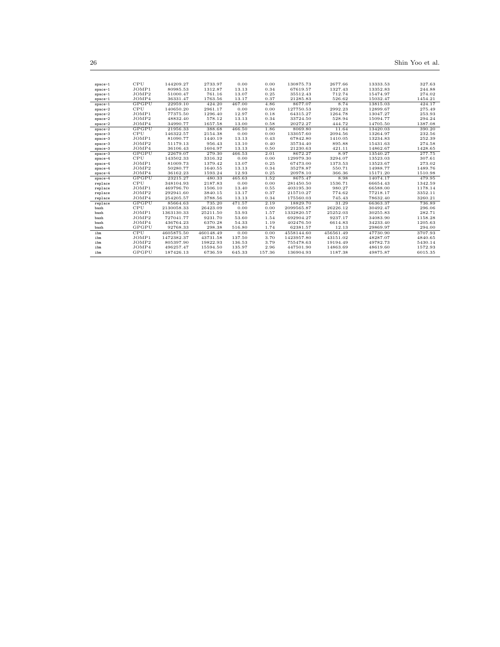| $space-1$ | CPU   | 144209.27  | 2733.97   | 0.00   | 0.00   | 130875.73  | 2677.66   | 13333.53 | 327.63  |
|-----------|-------|------------|-----------|--------|--------|------------|-----------|----------|---------|
| $space-1$ | JOMP1 | 80985.53   | 1312.87   | 13.13  | 0.34   | 67619.57   | 1327.43   | 13352.83 | 244.88  |
| $space-1$ | JOMP2 | 51000.47   | 761.16    | 13.07  | 0.25   | 35512.43   | 712.74    | 15474.97 | 274.02  |
| $space-1$ | JOMP4 | 36331.47   | 1763.56   | 13.17  | 0.37   | 21285.83   | 526.62    | 15032.47 | 1454.21 |
| $space-1$ | GPGPU | 22959.10   | 424.20    | 467.00 | 4.86   | 8677.07    | 8.74      | 13815.03 | 424.17  |
| $space-2$ | CPU   | 140650.20  | 2961.17   | 0.00   | 0.00   | 127750.53  | 2992.23   | 12899.67 | 275.49  |
| $space-2$ | JOMP1 | 77375.50   | 1296.40   | 12.97  | 0.18   | 64315.27   | 1264.78   | 13047.27 | 253.93  |
| $space-2$ | JOMP2 | 48832.40   | 578.12    | 13.13  | 0.34   | 33724.50   | 528.94    | 15094.77 | 294.24  |
| $space-2$ | JOMP4 | 34990.77   | 1657.58   | 13.00  | 0.58   | 20272.27   | 444.72    | 14705.50 | 1387.08 |
| $space-2$ | GPGPU | 21956.33   | 388.68    | 466.50 | 1.86   | 8069.80    | 11.64     | 13420.03 | 390.20  |
| $space-3$ | CPU   | 146322.57  | 2154.38   | 0.00   | 0.00   | 133057.60  | 2094.56   | 13264.97 | 232.56  |
| $space-3$ | JOMP1 | 81090.77   | 1440.19   | 13.13  | 0.43   | 67842.80   | 1410.05   | 13234.83 | 252.39  |
| $space-3$ | JOMP2 | 51179.13   | 956.43    | 13.10  | 0.40   | 35734.40   | 895.88    | 15431.63 | 274.58  |
| $space-3$ | JOMP4 | 36106.43   | 1604.97   | 13.13  | 0.50   | 21230.63   | 421.11    | 14862.67 | 1428.65 |
| $space-3$ | GPGPU | 22679.07   | 279.30    | 466.53 | 2.01   | 8672.27    | 8.97      | 13540.27 | 277.75  |
| $space-4$ | CPU   | 143502.33  | 3316.32   | 0.00   | 0.00   | 129979.30  | 3294.07   | 13523.03 | 307.61  |
| $space-4$ | JOMP1 | 81009.73   | 1379.42   | 13.07  | 0.25   | 67473.00   | 1373.53   | 13523.67 | 273.02  |
| $space-4$ | JOMP2 | 50280.77   | 1640.55   | 13.13  | 0.34   | 35278.87   | 550.71    | 14988.77 | 1489.76 |
| $space-4$ | JOMP4 | 36162.23   | 1593.24   | 12.93  | 0.25   | 20978.10   | 366.36    | 15171.20 | 1510.98 |
| $space-4$ | GPGPU | 23215.27   | 480.33    | 465.63 | 1.52   | 8675.47    | 8.98      | 14074.17 | 479.95  |
| replace   | CPU   | 348104.93  | 2187.83   | 0.00   | 0.00   | 281450.50  | 1536.71   | 66654.43 | 1342.59 |
| replace   | JOMP1 | 469796.70  | 1506.10   | 13.40  | 0.55   | 403195.30  | 980.27    | 66588.00 | 1178.14 |
| replace   | JOMP2 | 292941.60  | 3840.15   | 13.17  | 0.37   | 215710.27  | 774.62    | 77218.17 | 3352.11 |
| replace   | JOMP4 | 254205.57  | 3788.56   | 13.13  | 0.34   | 175560.03  | 745.43    | 78632.40 | 3260.21 |
| replace   | GPGPU | 85664.63   | 735.20    | 471.57 | 2.19   | 18829.70   | 31.29     | 66363.37 | 736.89  |
| bash      | CPU   | 2130058.33 | 26423.09  | 0.00   | 0.00   | 2099565.87 | 26226.12  | 30492.47 | 296.06  |
| bash      | JOMP1 | 1363130.33 | 25211.50  | 53.93  | 1.57   | 1332820.57 | 25252.03  | 30255.83 | 282.71  |
| bash      | JOMP2 | 727041.77  | 9231.70   | 53.60  | 1.54   | 692904.27  | 9237.17   | 34083.90 | 1158.28 |
| bash      | JOMP4 | 436764.23  | 6370.28   | 54.33  | 1.19   | 402476.50  | 6614.83   | 34233.40 | 1205.63 |
| bash      | GPGPU | 92768.33   | 298.38    | 516.80 | 1.74   | 62381.57   | 12.13     | 29869.97 | 294.00  |
| ibm       | CPU   | 4605875.50 | 460148.49 | 0.00   | 0.00   | 4558144.60 | 456561.49 | 47730.90 | 3707.93 |
| ibm       | JOMP1 | 1472382.37 | 43731.58  | 137.50 | 3.70   | 1423957.80 | 43151.02  | 48287.07 | 4840.65 |
| ibm       | JOMP2 | 805397.90  | 19822.93  | 136.53 | 3.79   | 755478.63  | 19194.49  | 49782.73 | 5430.14 |
| ibm       | JOMP4 | 496257.47  | 15594.50  | 135.97 | 2.96   | 447501.90  | 14863.69  | 48619.60 | 1572.93 |
| ibm       | GPGPU | 187426.13  | 6736.59   | 645.33 | 157.36 | 136904.93  | 1187.38   | 49875.87 | 6015.35 |
|           |       |            |           |        |        |            |           |          |         |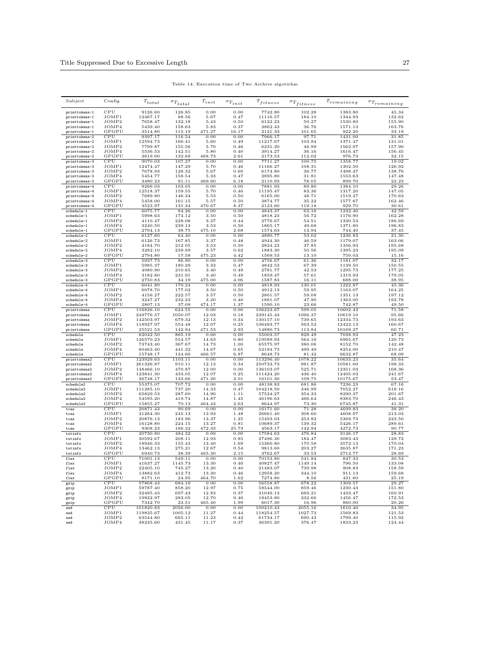| Subject                        | Config                  | $\bar{T}_{total}$      | $\sigma_{Total}$  | $\bar{T}_{init}$ | ${}^{\sigma}T_{init}$ | $\bar{T}_{fitness}$    | $\sigma_{T_{fitness}}$ | $T_{remaining}$      | $\sigma_{Tremaining}$ |
|--------------------------------|-------------------------|------------------------|-------------------|------------------|-----------------------|------------------------|------------------------|----------------------|-----------------------|
| printtokens-1                  | CPU                     | 9126.60                | 126.85            | 0.00             | 0.00                  | 7742.80                | 102.28                 | 1383.80              | 45.34                 |
| printtokens-1                  | JOMP1                   | 12467.17               | 88.56             | 5.67             | 0.47                  | 11116.57               | 184.10                 | 1344.93              | 132.62                |
| printtokens-1                  | JOMP2                   | 7658.47                | 132.18            | 5.43             | 0.50                  | 6122.23                | 50.27                  | 1530.80              | 155.90                |
| printtokens-1                  | JOMP4                   | 5439.40                | 158.63            | 5.83             | 0.37                  | 3862.43                | 36.76                  | 1571.13              | 163.76                |
| printtokens-1                  | GPGPU                   | 3514.80                | 115.19            | 471.27           | 16.17                 | 2121.33                | 101.65                 | 922.20               | 33.19                 |
| printtokens-2                  | CPU                     | 9397.17                | 116.54            | 0.00             | 0.00                  | 7966.17                | 97.71                  | 1431.00              | 31.85                 |
| printtokens-2<br>printtokens-2 | JOMP1<br>JOMP2          | 12594.73<br>7799.87    | 166.41<br>155.56  | 5.60<br>5.70     | 0.49<br>0.46          | 11217.67<br>6231.20    | 103.84<br>46.99        | 1371.47<br>1562.97   | 131.01<br>157.90      |
| printtokens-2                  | JOMP4                   | 5536.53                | 142.51            | 5.80             | 0.40                  | 3914.27                | 36.16                  | 1616.47              | 156.45                |
| printtokens-2                  | GPGPU                   | 3619.00                | 132.69            | 468.73           | 2.61                  | 2173.53                | 112.02                 | 976.73               | 32.15                 |
| printtokens-3                  | CPU                     | 9070.03                | 107.27            | 0.00             | 0.00                  | 7711.27                | 100.75                 | 1358.77              | 19.02                 |
| printtokens-3                  | JOMP1                   | 12474.47               | 147.29            | 5.70             | 0.46                  | 11166.27               | 108.31                 | 1302.50              | 126.92                |
| printtokens-3                  | JOMP2                   | 7678.93                | 128.32            | 5.67             | 0.60                  | 6174.80                | 36.77                  | 1498.47              | 138.76                |
| printtokens-3                  | JOMP4                   | 5454.77                | 158.54            | 5.33             | 0.47                  | 3895.80                | 31.81                  | 1553.63              | 147.48                |
| printtokens-3                  | GPGPU                   | 3480.23                | 91.11             | 469.60           | 6.18                  | 2110.93                | 78.05                  | 899.70               | 22.23                 |
| printtokens-4                  | CPU                     | 9266.03                | 103.05            | 0.00             | 0.00                  | 7881.93                | 89.80                  | 1384.10              | 29.26                 |
| printtokens-4                  | JOMP1                   | 12518.37               | 159.55            | 5.70             | 0.46                  | 11195.47               | 83.36                  | 1317.20              | 147.05                |
| printtokens-4                  | JOMP2                   | 7689.80                | 146.34            | 5.53             | 0.50                  | 6165.00                | 48.71                  | 1519.27              | 170.63                |
| printtokens-4                  | JOMP4                   | 5458.00                | 161.15            | 5.57             | 0.50                  | 3874.77                | 35.22                  | 1577.67              | 162.46                |
| printtokens-4                  | GPGPU                   | 3523.97                | 131.34            | 470.67           | 8.37                  | 2123.60                | 119.18                 | 929.70               | 30.61                 |
| schedule-1                     | CPU<br>JOMP1            | 6075.77                | 84.26<br>174.12   | 0.00             | 0.00                  | 4843.37                | 63.16                  | 1232.40              | 42.59                 |
| schedule-1<br>$schedule-1$     | JOMP2                   | 5998.63<br>4110.47     | 228.08            | 3.50<br>3.27     | 0.50<br>0.44          | 4818.23<br>2776.67     | 56.72<br>54.51         | 1176.90<br>1330.53   | 162.28<br>186.69      |
| schedule-1                     | JOMP4                   | 3240.50                | 239.13            | 3.53             | 0.50                  | 1865.17                | 49.68                  | 1371.80              | 196.83                |
| schedule-1                     | GPGPU                   | 2794.13                | 38.75             | 475.10           | 2.68                  | 1574.63                | 14.94                  | 744.40               | 37.45                 |
| schedule-2                     | CPU                     | 6127.60                | 64.40             | 0.00             | 0.00                  | 4890.77                | 53.02                  | 1236.83              | 21.30                 |
| schedule-2                     | JOMP1                   | 6126.73                | 167.85            | 3.37             | 0.48                  | 4944.30                | 46.59                  | 1179.07              | 163.06                |
| schedule-2                     | JOMP2                   | 4184.70                | 212.05            | 3.53             | 0.50                  | 2824.23                | 37.85                  | 1356.93              | 195.68                |
| schedule-2                     | JOMP4                   | 3282.10                | 239.99            | 3.57             | 0.62                  | 1883.30                | 50.56                  | 1395.23              | 195.09                |
| schedule-2                     | GPGPU                   | 2794.80                | 17.58             | 475.23           | 4.42                  | 1569.53                | 13.10                  | 750.03               | 15.16                 |
| schedule-3                     | CPU                     | 5937.73                | 86.90             | 0.00             | 0.00                  | 4756.67                | 61.36                  | 1181.07              | 32.17                 |
| schedule-3                     | JOMP1                   | 5985.37                | 180.29            | 3.33             | 0.47                  | 4842.53                | 67.39                  | 1139.50              | 150.55                |
| schedule-3                     | JOMP2                   | 4080.90                | 210.65            | 3.40             | 0.49                  | 2781.77                | 42.53                  | 1295.73              | 177.25                |
| schedule-3                     | JOMP4                   | 3182.80                | 231.91            | 3.40             | 0.49                  | 1859.47                | 57.61                  | 1319.93              | 179.05                |
| schedule-3                     | GPGPU                   | 2750.83                | 34.19             | 475.00           | 4.06                  | 1587.83                | 16.11                  | 688.00               | 38.95                 |
| schedule-4                     | CPU                     | 6041.80                | 170.24            | 0.00             | 0.00                  | 4818.93                | 130.01                 | 1222.87              | 45.36                 |
| schedule-4<br>schedule-4       | JOMP1<br>JOMP2          | 6078.70<br>4156.27     | 177.02<br>222.57  | 3.50<br>3.57     | 0.50<br>0.50          | 4912.13<br>2801.57     | 59.95<br>59.08         | 1163.07<br>1351.13   | 164.25<br>197.12      |
| schedule-4                     | JOMP4                   | 3247.27                | 232.23            | 3.20             | 0.40                  | 1881.07                | 47.90                  | 1363.00              | 192.78                |
| schedule-4                     | GPGPU                   | 2807.13                | 37.09             | 474.17           | 1.37                  | 1590.10                | 23.66                  | 742.87               | 49.50                 |
| printtokens                    | CPU                     | 116826.10              | 624.55            | 0.00             | 0.00                  | 106223.67              | 599.05                 | 10602.43             | 71.58                 |
| printtokens                    | JOMP1                   | 249776.57              | 1050.07           | 12.03            | 0.18                  | 239145.43              | 1066.37                | 10619.10             | 95.66                 |
| printtokens                    | JOMP2                   | 142503.97              | 679.32            | 12.13            | 0.34                  | 130157.10              | 739.65                 | 12334.73             | 193.63                |
| printtokens                    | JOMP4                   | 118927.97              | 554.48            | 12.07            | 0.25                  | 106493.77              | 563.52                 | 12422.13             | 160.67                |
| print tokens                   | GPGPU                   | 25521.53               | 142.94            | 471.53           | 2.93                  | 14880.73               | 113.84                 | 10169.27             | 60.71                 |
| schedule                       | CPU                     | 62042.50               | 865.19            | 0.00             | 0.00                  | 55003.57               | 828.49                 | 7038.93              | 47.23                 |
| schedule                       | JOMP1                   | 126570.23              | 554.57            | 14.63            | 0.80                  | 119589.93              | 564.16                 | 6965.67              | 120.73                |
| schedule                       | JOMP2                   | 73743.40               | 367.67            | 14.73            | 1.00                  | 65575.97               | 380.06                 | 8152.70              | 142.48                |
| schedule                       | JOMP4                   | 60463.40               | 441.32            | 14.67            | 0.65                  | 52194.73               | 499.49                 | 8254.00              | 210.47                |
| schedule                       | GPGPU                   | 15748.17               | 124.66            | 466.57           | 6.87                  | 8648.73                | 81.42                  | 6632.87              | 68.09                 |
| printtokens2<br>printtokens2   | CPU<br>JOMP1            | 123929.63<br>261326.87 | 1103.11<br>910.11 | 0.00<br>12.13    | 0.00<br>0.34          | 113296.40<br>250733.73 | 1078.22<br>981.87      | 10633.23<br>10581.00 | 35.64<br>198.33       |
| printtokens2                   | $_{\rm JOMP2}$          | 148466.10              | 470.87            | 12.00            | 0.00                  | 136103.07              | 525.71                 | 12351.03             | 168.36                |
| printtokens2                   | JOMP4                   | 123841.30              | 433.05            | 12.07            | 0.25                  | 111424.20              | 436.40                 | 12405.03             | 241.67                |
| printtokens2                   | GPGPU                   | 26748.17               | 133.66            | 471.20           | 2.01                  | 16101.30               | 109.75                 | 10175.67             | 53.47                 |
| schedule2                      | $\overline{\text{CPU}}$ | 55375.07               | 707.72            | 0.00             | 0.00                  | 48138.83               | 681.86                 | 7236.23              | 67.16                 |
| schedule2                      | JOMP1                   | 111285.10              | 737.20            | 14.33            | 0.47                  | 104218.50              | 346.99                 | 7052.27              | 618.16                |
| schedule2                      | JOMP2                   | 65829.53               | 287.60            | 14.90            | 1.11                  | 57524.27               | 354.33                 | 8290.37              | 201.67                |
| schedule2                      | JOMP4                   | 54595.20               | 419.74            | 14.87            | 1.45                  | 46196.63               | 466.64                 | 8383.70              | 246.43                |
| schedule2                      | GPGPU                   | 15855.27               | 70.13             | 464.43           | 2.63                  | 8644.97                | 73.30                  | 6745.87              | 41.31                 |
| tcas                           | CPU                     | 20871.43               | 90.69             | 0.00             | 0.00                  | 16171.60               | 71.28                  | 4699.83              | 38.20                 |
| tcas                           | JOMP1                   | 31284.30               | 245.13            | 13.93            | 1.48                  | 26661.40               | 308.60                 | 4608.97              | 213.03                |
| tcas<br>tcas                   | JOMP2<br>JOMP4          | 20876.13<br>16128.80   | 183.96<br>224.15  | 13.37<br>13.27   | 1.25<br>0.81          | 15493.03<br>10689.37   | 253.82<br>139.32       | 5369.73<br>5426.17   | 223.50<br>289.61      |
|                                | GPGPU                   | 9308.23                | 166.32            | 472.33           | 25.73                 | 4563.17                |                        |                      | 90.77                 |
| tcas<br>totinfo                | $_{\rm CPU}$            | 20730.80               | 484.32            | 0.00             | 0.00                  | 17584.63               | 142.94<br>476.84       | 4272.73<br>3146.17   | 28.83                 |
| totinfo                        | JOMP1                   | 30592.67               | 208.11            | 12.93            | 0.85                  | 27496.30               | 182.47                 | 3083.43              | 129.72                |
| totinfo                        | JOMP2                   | 18946.33               | 155.43            | 13.40            | 1.69                  | 15360.80               | 170.58                 | 3572.13              | 170.04                |
| totinfo                        | JOMP4                   | 13462.13               | 275.21            | 12.67            | 0.54                  | 9813.60                | 203.27                 | 3635.87              | 171.23                |
| totinfo                        | GPGPU                   | 6940.73                | 38.39             | 465.30           | 2.15                  | 3762.67                | 33.53                  | 2712.77              | 28.69                 |
| $_{\text{flex}}$               | CPU                     | 71001.13               | 549.11            | 0.00             | 0.00                  | 70153.80               | 541.84                 | 847.33               | 30.53                 |
| flex                           | JOMP1                   | 41637.27               | 1145.73           | 13.30            | 0.46                  | 40827.47               | 1149.14                | 796.50               | 133.08                |
| flex                           | JOMP2                   | 22405.10               | 745.27            | 13.20            | 0.40                  | 21483.07               | 739.98                 | 908.83               | 158.59                |
| flex                           | JOMP4                   | 13882.63               | 412.73            | 13.30            | 0.46                  | 12958.20               | 344.10                 | 911.13               | 159.68                |
| flex                           | GPGPU                   | 8171.10                | 24.95             | 464.70           | 1.62                  | 7274.80                | 8.56                   | 431.60               | 25.19                 |
| gzip                           | CPU                     | 57868.43               | 684.16            | 0.00             | 0.00                  | 56558.87               | 678.22                 | 1309.57              | 29.27                 |
| gzip                           | JOMP1                   | 59787.40               | 858.20            | 12.97            | 0.75                  | 58544.00               | 859.46                 | 1230.43              | 151.80                |
| gzip                           | JOMP2<br>JOMP4          | 32495.43<br>19922.97   | 697.43<br>283.05  | 12.83<br>12.70   | 0.37<br>0.46          | 31049.13<br>18453.80   | 669.21<br>232.66       | 1433.47<br>1456.47   | 160.91<br>172.53      |
| gzip                           | GPGPU                   | 7342.70                | 23.51             | 465.40           | 1.99                  | 6017.30                | 16.96                  | 860.00               | 20.26                 |
| gzip<br>sed                    | $_{\rm CPU}$            | 101820.83              | 2056.00           | 0.00             | 0.00                  | 100210.43              | 2055.16                | 1610.40              | 34.95                 |
| sed                            | JOMP1                   | 119835.67              | 1005.12           | 11.27            | 0.44                  | 118254.57              | 1027.73                | 1569.83              | 121.53                |
| sed                            | JOMP2                   | 63544.80               | 665.11            | 11.23            | 0.42                  | 61734.17               | 690.43                 | 1799.40              | 115.92                |
| sed                            | JOMP4                   | 38235.60               | 431.45            | 11.17            | 0.37                  | 36391.20               | 376.47                 | 1833.23              | 124.44                |

Table 14: Execution time of Two Archive algotirhm